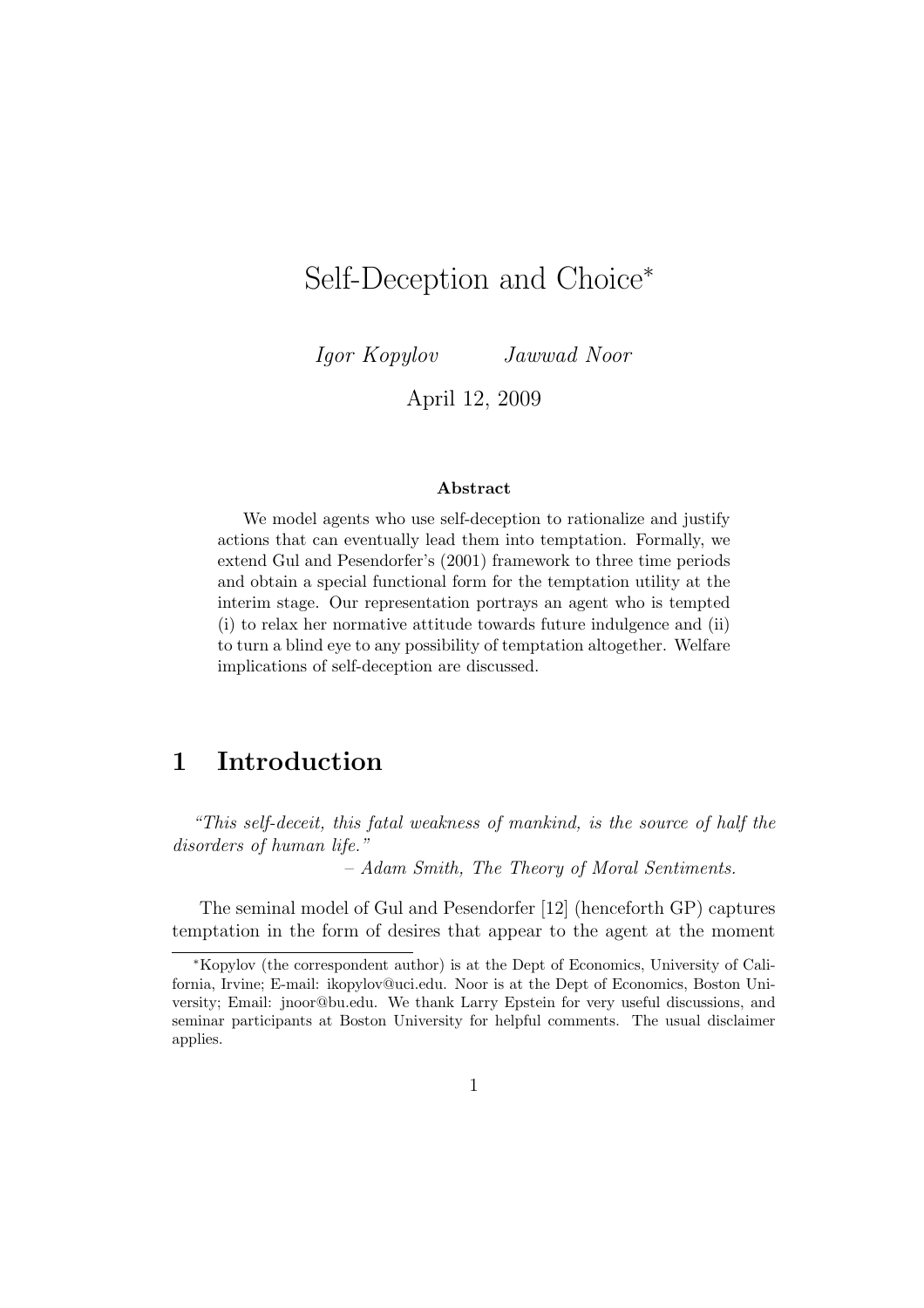# Self-Deception and Choice<sup>∗</sup>

Igor Kopylov Jawwad Noor

April 12, 2009

#### Abstract

We model agents who use self-deception to rationalize and justify actions that can eventually lead them into temptation. Formally, we extend Gul and Pesendorfer's (2001) framework to three time periods and obtain a special functional form for the temptation utility at the interim stage. Our representation portrays an agent who is tempted (i) to relax her normative attitude towards future indulgence and (ii) to turn a blind eye to any possibility of temptation altogether. Welfare implications of self-deception are discussed.

# 1 Introduction

"This self-deceit, this fatal weakness of mankind, is the source of half the disorders of human life."

– Adam Smith, The Theory of Moral Sentiments.

The seminal model of Gul and Pesendorfer [12] (henceforth GP) captures temptation in the form of desires that appear to the agent at the moment

<sup>∗</sup>Kopylov (the correspondent author) is at the Dept of Economics, University of California, Irvine; E-mail: ikopylov@uci.edu. Noor is at the Dept of Economics, Boston University; Email: jnoor@bu.edu. We thank Larry Epstein for very useful discussions, and seminar participants at Boston University for helpful comments. The usual disclaimer applies.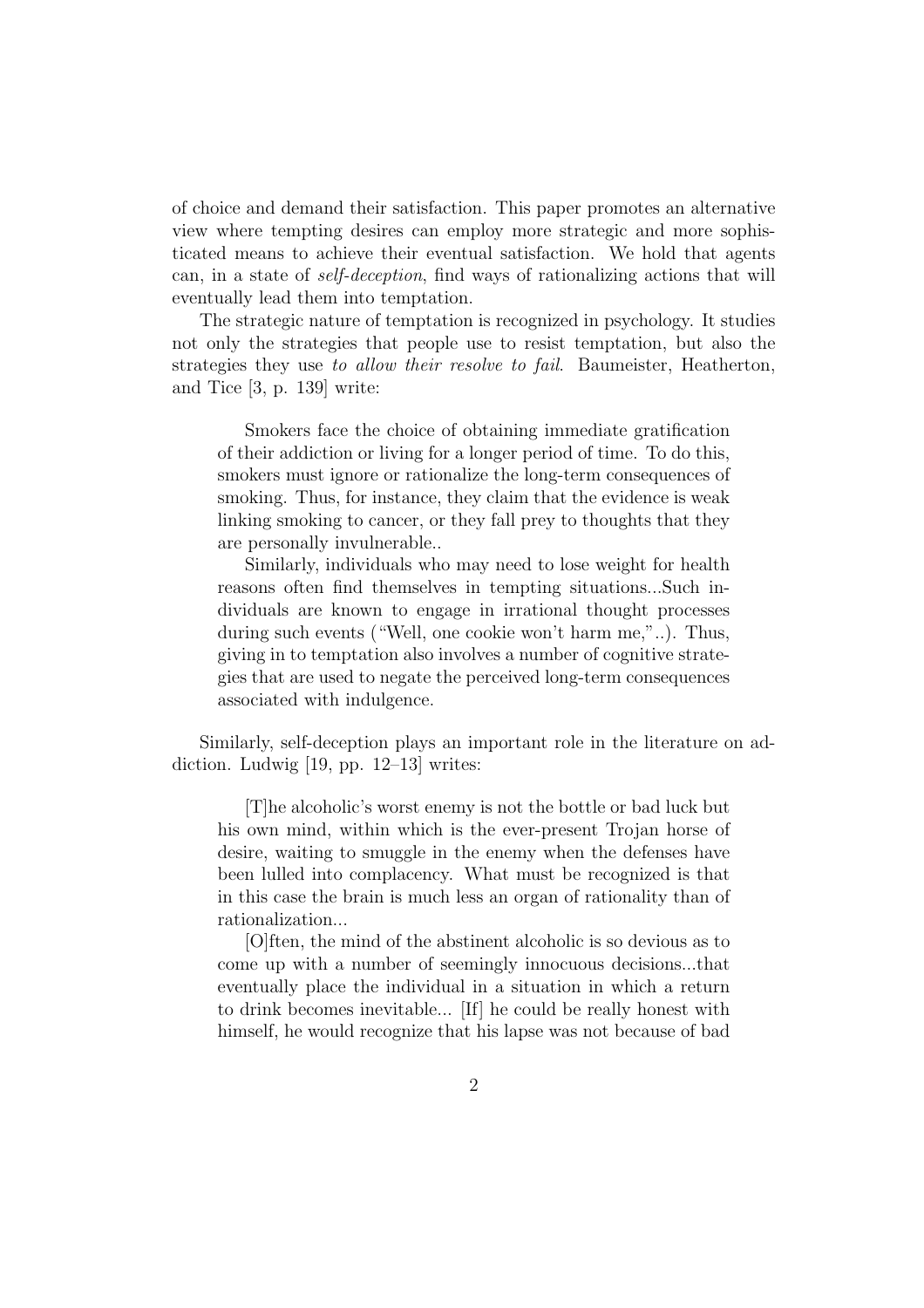of choice and demand their satisfaction. This paper promotes an alternative view where tempting desires can employ more strategic and more sophisticated means to achieve their eventual satisfaction. We hold that agents can, in a state of self-deception, find ways of rationalizing actions that will eventually lead them into temptation.

The strategic nature of temptation is recognized in psychology. It studies not only the strategies that people use to resist temptation, but also the strategies they use to allow their resolve to fail. Baumeister, Heatherton, and Tice [3, p. 139] write:

Smokers face the choice of obtaining immediate gratification of their addiction or living for a longer period of time. To do this, smokers must ignore or rationalize the long-term consequences of smoking. Thus, for instance, they claim that the evidence is weak linking smoking to cancer, or they fall prey to thoughts that they are personally invulnerable..

Similarly, individuals who may need to lose weight for health reasons often find themselves in tempting situations...Such individuals are known to engage in irrational thought processes during such events ("Well, one cookie won't harm me,"..). Thus, giving in to temptation also involves a number of cognitive strategies that are used to negate the perceived long-term consequences associated with indulgence.

Similarly, self-deception plays an important role in the literature on addiction. Ludwig [19, pp. 12–13] writes:

[T]he alcoholic's worst enemy is not the bottle or bad luck but his own mind, within which is the ever-present Trojan horse of desire, waiting to smuggle in the enemy when the defenses have been lulled into complacency. What must be recognized is that in this case the brain is much less an organ of rationality than of rationalization...

[O]ften, the mind of the abstinent alcoholic is so devious as to come up with a number of seemingly innocuous decisions...that eventually place the individual in a situation in which a return to drink becomes inevitable... [If] he could be really honest with himself, he would recognize that his lapse was not because of bad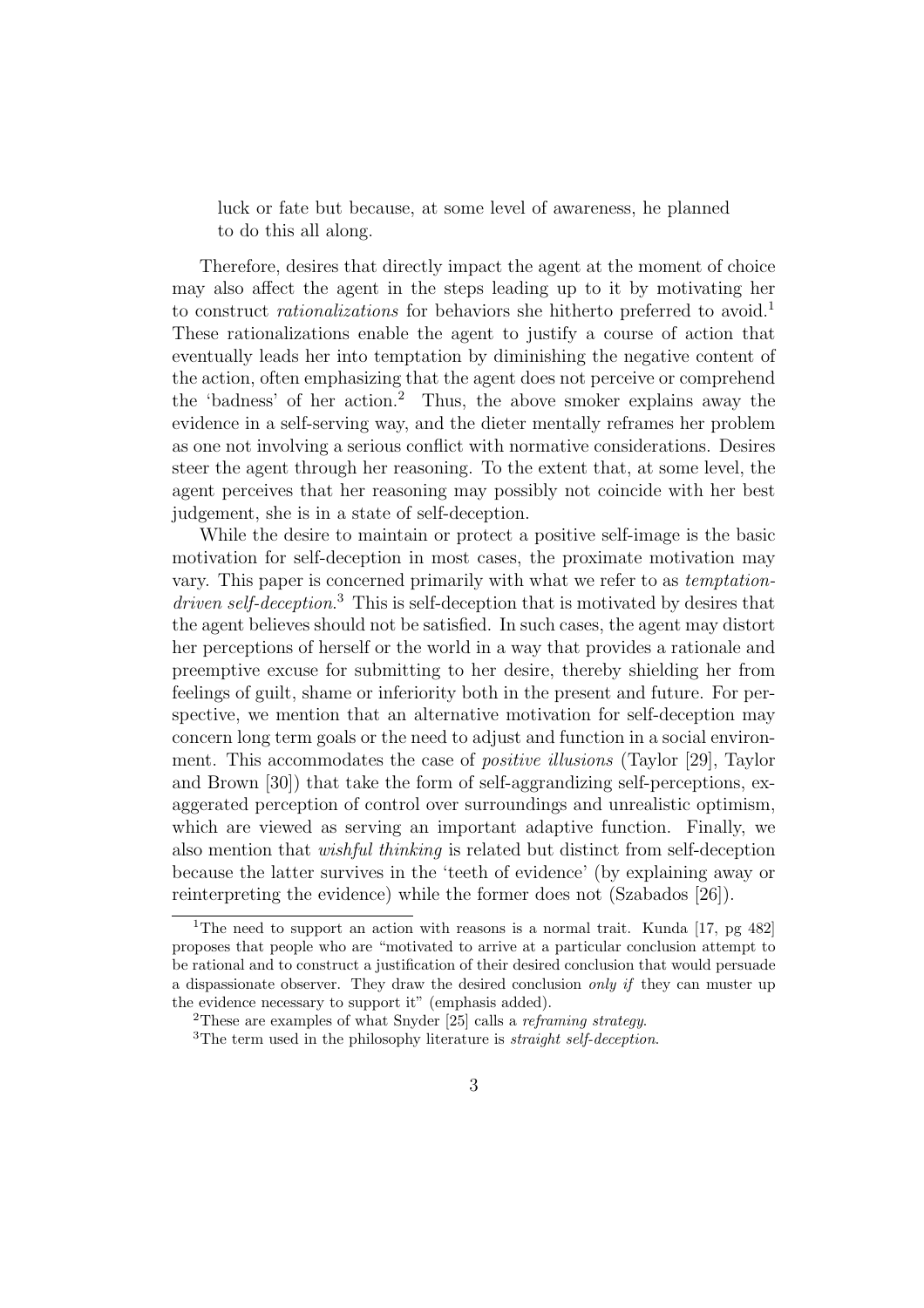luck or fate but because, at some level of awareness, he planned to do this all along.

Therefore, desires that directly impact the agent at the moment of choice may also affect the agent in the steps leading up to it by motivating her to construct *rationalizations* for behaviors she hitherto preferred to avoid.<sup>1</sup> These rationalizations enable the agent to justify a course of action that eventually leads her into temptation by diminishing the negative content of the action, often emphasizing that the agent does not perceive or comprehend the 'badness' of her action.<sup>2</sup> Thus, the above smoker explains away the evidence in a self-serving way, and the dieter mentally reframes her problem as one not involving a serious conflict with normative considerations. Desires steer the agent through her reasoning. To the extent that, at some level, the agent perceives that her reasoning may possibly not coincide with her best judgement, she is in a state of self-deception.

While the desire to maintain or protect a positive self-image is the basic motivation for self-deception in most cases, the proximate motivation may vary. This paper is concerned primarily with what we refer to as temptationdriven self-deception.<sup>3</sup> This is self-deception that is motivated by desires that the agent believes should not be satisfied. In such cases, the agent may distort her perceptions of herself or the world in a way that provides a rationale and preemptive excuse for submitting to her desire, thereby shielding her from feelings of guilt, shame or inferiority both in the present and future. For perspective, we mention that an alternative motivation for self-deception may concern long term goals or the need to adjust and function in a social environment. This accommodates the case of *positive illusions* (Taylor [29], Taylor and Brown [30]) that take the form of self-aggrandizing self-perceptions, exaggerated perception of control over surroundings and unrealistic optimism, which are viewed as serving an important adaptive function. Finally, we also mention that wishful thinking is related but distinct from self-deception because the latter survives in the 'teeth of evidence' (by explaining away or reinterpreting the evidence) while the former does not (Szabados [26]).

<sup>&</sup>lt;sup>1</sup>The need to support an action with reasons is a normal trait. Kunda [17, pg 482] proposes that people who are "motivated to arrive at a particular conclusion attempt to be rational and to construct a justification of their desired conclusion that would persuade a dispassionate observer. They draw the desired conclusion only if they can muster up the evidence necessary to support it" (emphasis added).

<sup>&</sup>lt;sup>2</sup>These are examples of what Snyder  $[25]$  calls a *reframing strategy*.

 $3$ The term used in the philosophy literature is *straight self-deception*.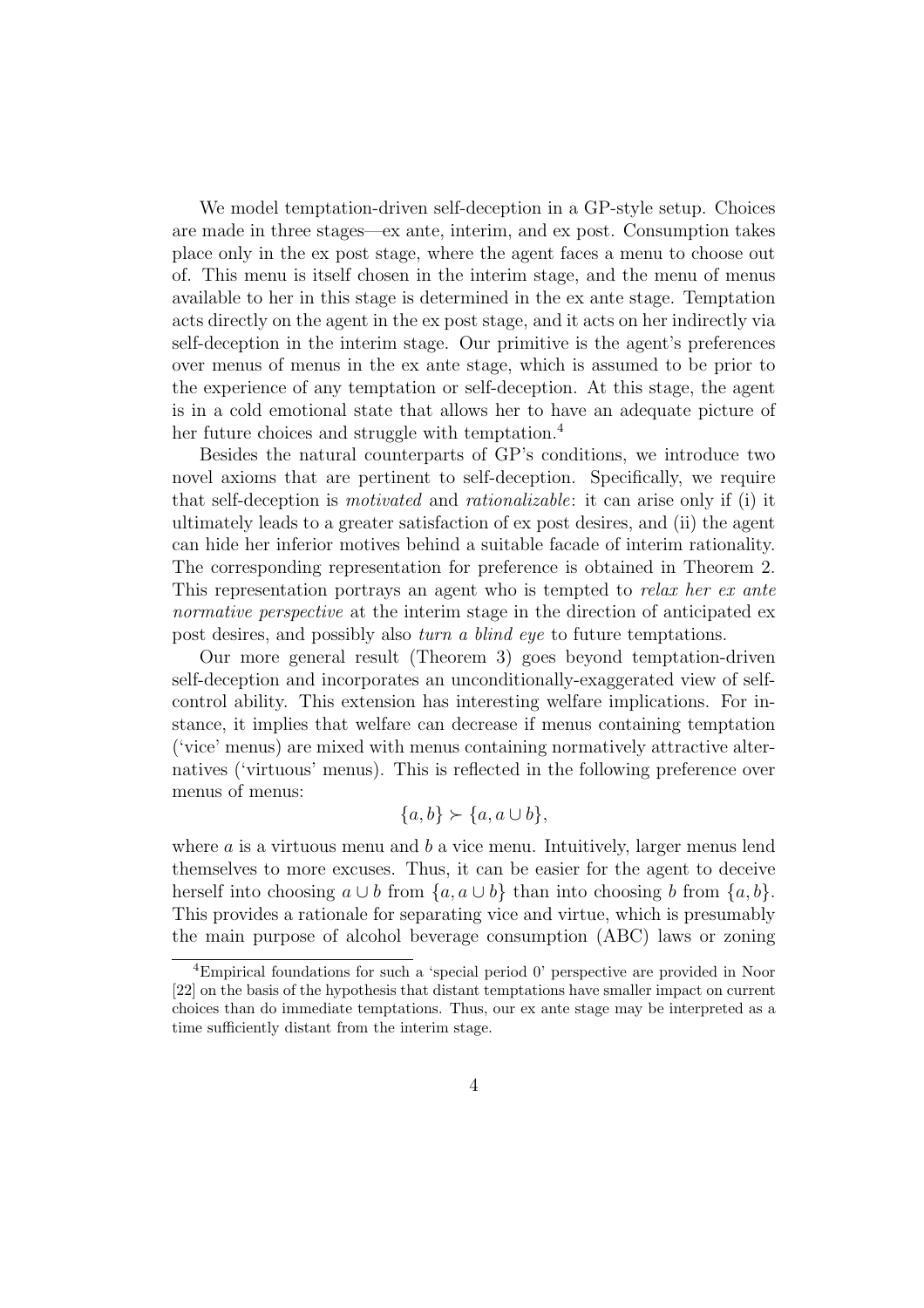We model temptation-driven self-deception in a GP-style setup. Choices are made in three stages—ex ante, interim, and ex post. Consumption takes place only in the ex post stage, where the agent faces a menu to choose out of. This menu is itself chosen in the interim stage, and the menu of menus available to her in this stage is determined in the ex ante stage. Temptation acts directly on the agent in the ex post stage, and it acts on her indirectly via self-deception in the interim stage. Our primitive is the agent's preferences over menus of menus in the ex ante stage, which is assumed to be prior to the experience of any temptation or self-deception. At this stage, the agent is in a cold emotional state that allows her to have an adequate picture of her future choices and struggle with temptation.<sup>4</sup>

Besides the natural counterparts of GP's conditions, we introduce two novel axioms that are pertinent to self-deception. Specifically, we require that self-deception is motivated and rationalizable: it can arise only if (i) it ultimately leads to a greater satisfaction of ex post desires, and (ii) the agent can hide her inferior motives behind a suitable facade of interim rationality. The corresponding representation for preference is obtained in Theorem 2. This representation portrays an agent who is tempted to *relax her ex ante* normative perspective at the interim stage in the direction of anticipated expost desires, and possibly also turn a blind eye to future temptations.

Our more general result (Theorem 3) goes beyond temptation-driven self-deception and incorporates an unconditionally-exaggerated view of selfcontrol ability. This extension has interesting welfare implications. For instance, it implies that welfare can decrease if menus containing temptation ('vice' menus) are mixed with menus containing normatively attractive alternatives ('virtuous' menus). This is reflected in the following preference over menus of menus:

$$
\{a, b\} \succ \{a, a \cup b\},\
$$

where  $a$  is a virtuous menu and  $b$  a vice menu. Intuitively, larger menus lend themselves to more excuses. Thus, it can be easier for the agent to deceive herself into choosing  $a \cup b$  from  $\{a, a \cup b\}$  than into choosing b from  $\{a, b\}$ . This provides a rationale for separating vice and virtue, which is presumably the main purpose of alcohol beverage consumption (ABC) laws or zoning

<sup>4</sup>Empirical foundations for such a 'special period 0' perspective are provided in Noor [22] on the basis of the hypothesis that distant temptations have smaller impact on current choices than do immediate temptations. Thus, our ex ante stage may be interpreted as a time sufficiently distant from the interim stage.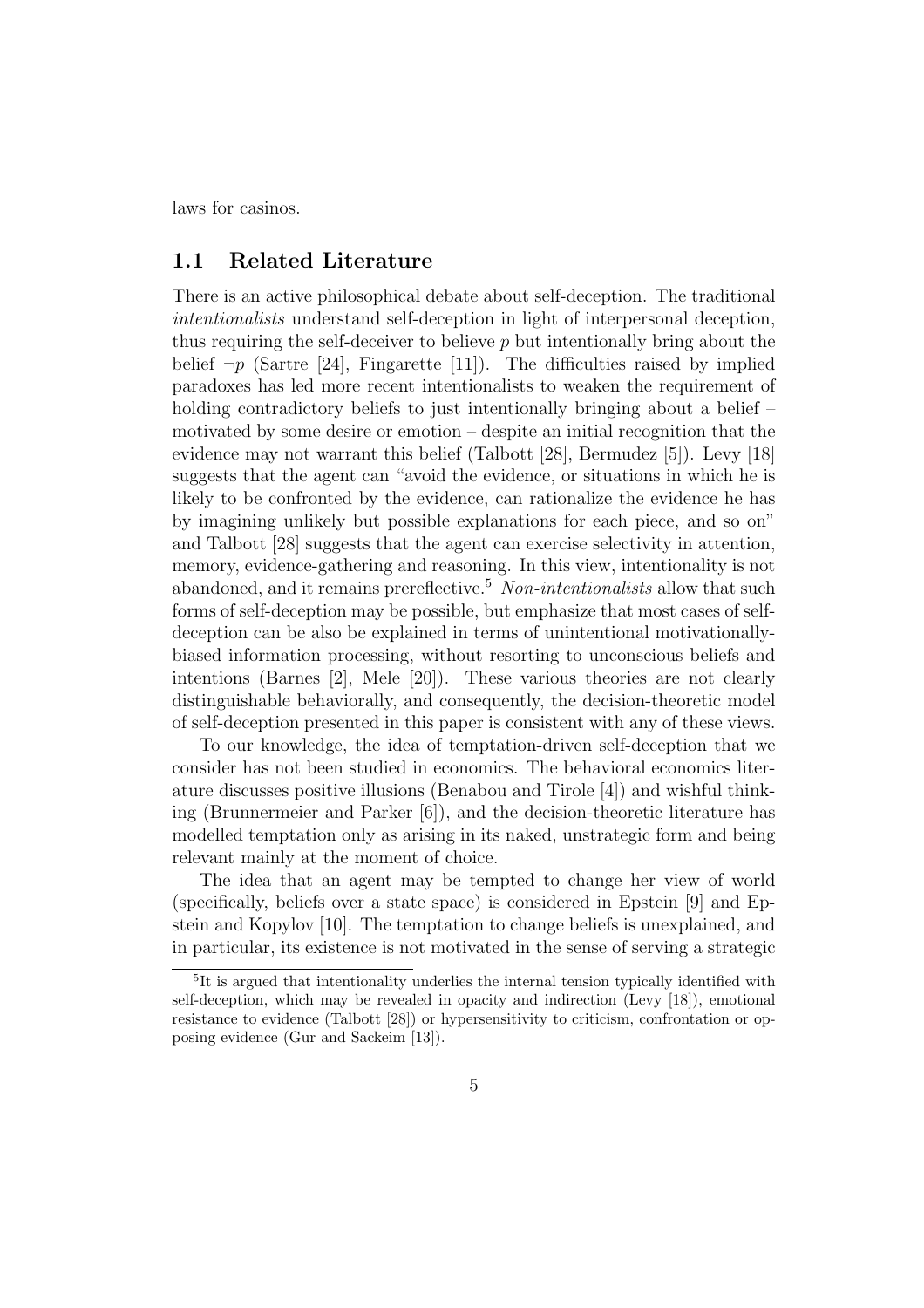laws for casinos.

### 1.1 Related Literature

There is an active philosophical debate about self-deception. The traditional intentionalists understand self-deception in light of interpersonal deception, thus requiring the self-deceiver to believe  $p$  but intentionally bring about the belief  $\neg p$  (Sartre [24], Fingarette [11]). The difficulties raised by implied paradoxes has led more recent intentionalists to weaken the requirement of holding contradictory beliefs to just intentionally bringing about a belief – motivated by some desire or emotion – despite an initial recognition that the evidence may not warrant this belief (Talbott [28], Bermudez [5]). Levy [18] suggests that the agent can "avoid the evidence, or situations in which he is likely to be confronted by the evidence, can rationalize the evidence he has by imagining unlikely but possible explanations for each piece, and so on" and Talbott [28] suggests that the agent can exercise selectivity in attention, memory, evidence-gathering and reasoning. In this view, intentionality is not abandoned, and it remains prereflective.<sup>5</sup> Non-intentionalists allow that such forms of self-deception may be possible, but emphasize that most cases of selfdeception can be also be explained in terms of unintentional motivationallybiased information processing, without resorting to unconscious beliefs and intentions (Barnes [2], Mele [20]). These various theories are not clearly distinguishable behaviorally, and consequently, the decision-theoretic model of self-deception presented in this paper is consistent with any of these views.

To our knowledge, the idea of temptation-driven self-deception that we consider has not been studied in economics. The behavioral economics literature discusses positive illusions (Benabou and Tirole [4]) and wishful thinking (Brunnermeier and Parker [6]), and the decision-theoretic literature has modelled temptation only as arising in its naked, unstrategic form and being relevant mainly at the moment of choice.

The idea that an agent may be tempted to change her view of world (specifically, beliefs over a state space) is considered in Epstein [9] and Epstein and Kopylov [10]. The temptation to change beliefs is unexplained, and in particular, its existence is not motivated in the sense of serving a strategic

<sup>&</sup>lt;sup>5</sup>It is argued that intentionality underlies the internal tension typically identified with self-deception, which may be revealed in opacity and indirection (Levy [18]), emotional resistance to evidence (Talbott [28]) or hypersensitivity to criticism, confrontation or opposing evidence (Gur and Sackeim [13]).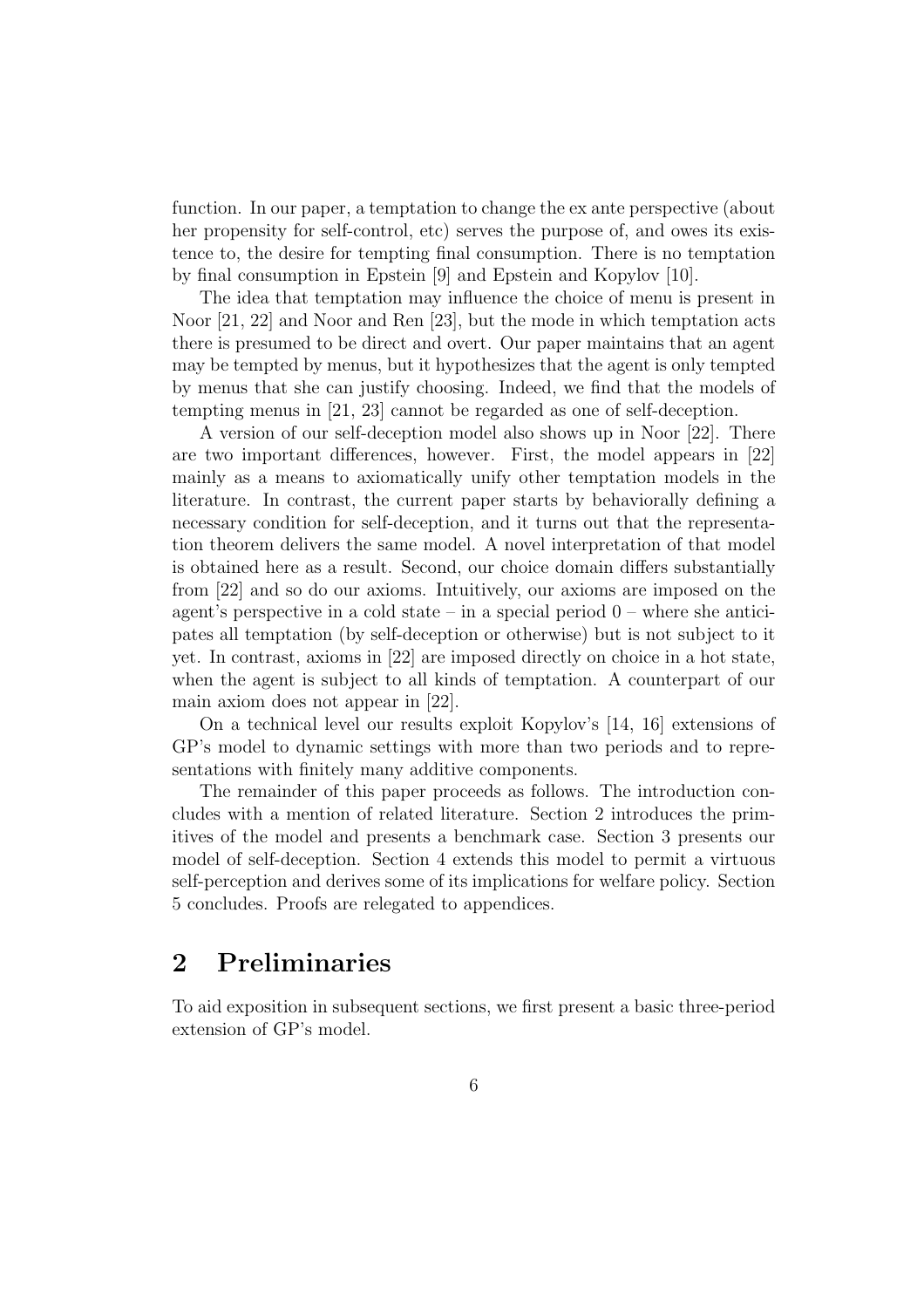function. In our paper, a temptation to change the ex ante perspective (about her propensity for self-control, etc) serves the purpose of, and owes its existence to, the desire for tempting final consumption. There is no temptation by final consumption in Epstein [9] and Epstein and Kopylov [10].

The idea that temptation may influence the choice of menu is present in Noor [21, 22] and Noor and Ren [23], but the mode in which temptation acts there is presumed to be direct and overt. Our paper maintains that an agent may be tempted by menus, but it hypothesizes that the agent is only tempted by menus that she can justify choosing. Indeed, we find that the models of tempting menus in [21, 23] cannot be regarded as one of self-deception.

A version of our self-deception model also shows up in Noor [22]. There are two important differences, however. First, the model appears in [22] mainly as a means to axiomatically unify other temptation models in the literature. In contrast, the current paper starts by behaviorally defining a necessary condition for self-deception, and it turns out that the representation theorem delivers the same model. A novel interpretation of that model is obtained here as a result. Second, our choice domain differs substantially from [22] and so do our axioms. Intuitively, our axioms are imposed on the agent's perspective in a cold state – in a special period  $0$  – where she anticipates all temptation (by self-deception or otherwise) but is not subject to it yet. In contrast, axioms in [22] are imposed directly on choice in a hot state, when the agent is subject to all kinds of temptation. A counterpart of our main axiom does not appear in [22].

On a technical level our results exploit Kopylov's [14, 16] extensions of GP's model to dynamic settings with more than two periods and to representations with finitely many additive components.

The remainder of this paper proceeds as follows. The introduction concludes with a mention of related literature. Section 2 introduces the primitives of the model and presents a benchmark case. Section 3 presents our model of self-deception. Section 4 extends this model to permit a virtuous self-perception and derives some of its implications for welfare policy. Section 5 concludes. Proofs are relegated to appendices.

# 2 Preliminaries

To aid exposition in subsequent sections, we first present a basic three-period extension of GP's model.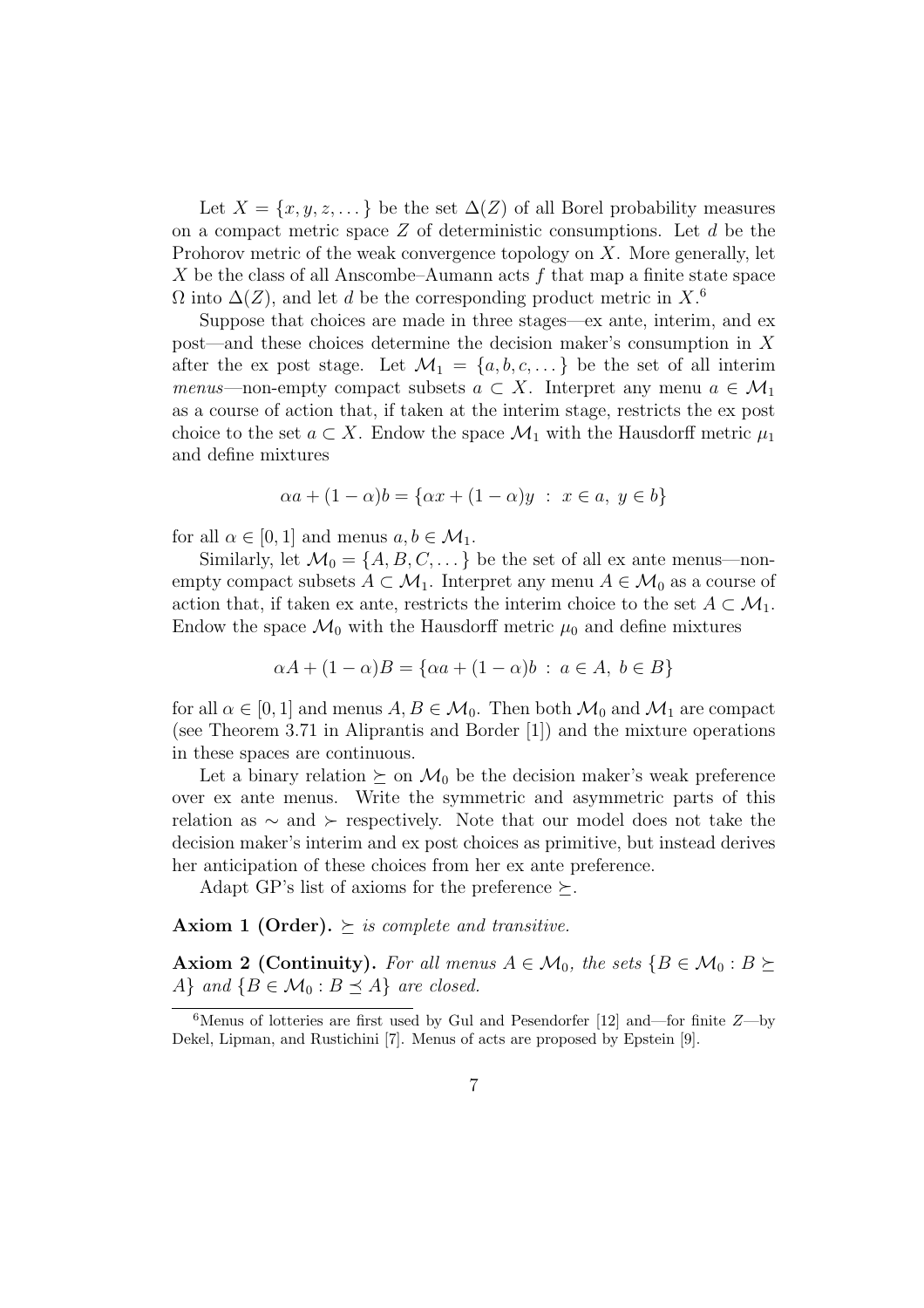Let  $X = \{x, y, z, \dots\}$  be the set  $\Delta(Z)$  of all Borel probability measures on a compact metric space  $Z$  of deterministic consumptions. Let  $d$  be the Prohorov metric of the weak convergence topology on  $X$ . More generally, let X be the class of all Anscombe–Aumann acts  $f$  that map a finite state space  $\Omega$  into  $\Delta(Z)$ , and let d be the corresponding product metric in X.<sup>6</sup>

Suppose that choices are made in three stages—ex ante, interim, and ex post—and these choices determine the decision maker's consumption in  $X$ after the ex post stage. Let  $\mathcal{M}_1 = \{a, b, c, \dots\}$  be the set of all interim menus—non-empty compact subsets  $a \subset X$ . Interpret any menu  $a \in \mathcal{M}_1$ as a course of action that, if taken at the interim stage, restricts the ex post choice to the set  $a \subset X$ . Endow the space  $\mathcal{M}_1$  with the Hausdorff metric  $\mu_1$ and define mixtures

$$
\alpha a + (1 - \alpha)b = \{ \alpha x + (1 - \alpha)y : x \in a, y \in b \}
$$

for all  $\alpha \in [0, 1]$  and menus  $a, b \in \mathcal{M}_1$ .

Similarly, let  $\mathcal{M}_0 = \{A, B, C, \dots\}$  be the set of all ex ante menus—nonempty compact subsets  $A \subset \mathcal{M}_1$ . Interpret any menu  $A \in \mathcal{M}_0$  as a course of action that, if taken ex ante, restricts the interim choice to the set  $A \subset \mathcal{M}_1$ . Endow the space  $\mathcal{M}_0$  with the Hausdorff metric  $\mu_0$  and define mixtures

$$
\alpha A + (1 - \alpha)B = \{ \alpha a + (1 - \alpha)b : a \in A, b \in B \}
$$

for all  $\alpha \in [0,1]$  and menus  $A, B \in \mathcal{M}_0$ . Then both  $\mathcal{M}_0$  and  $\mathcal{M}_1$  are compact (see Theorem 3.71 in Aliprantis and Border [1]) and the mixture operations in these spaces are continuous.

Let a binary relation  $\succeq$  on  $\mathcal{M}_0$  be the decision maker's weak preference over ex ante menus. Write the symmetric and asymmetric parts of this relation as  $\sim$  and  $\succ$  respectively. Note that our model does not take the decision maker's interim and ex post choices as primitive, but instead derives her anticipation of these choices from her ex ante preference.

Adapt GP's list of axioms for the preference  $\succeq$ .

**Axiom 1 (Order).**  $\succeq$  is complete and transitive.

**Axiom 2 (Continuity).** For all menus  $A \in \mathcal{M}_0$ , the sets  $\{B \in \mathcal{M}_0 : B \succeq \emptyset\}$ A} and  $\{B \in \mathcal{M}_0 : B \preceq A\}$  are closed.

<sup>&</sup>lt;sup>6</sup>Menus of lotteries are first used by Gul and Pesendorfer [12] and—for finite  $Z$ —by Dekel, Lipman, and Rustichini [7]. Menus of acts are proposed by Epstein [9].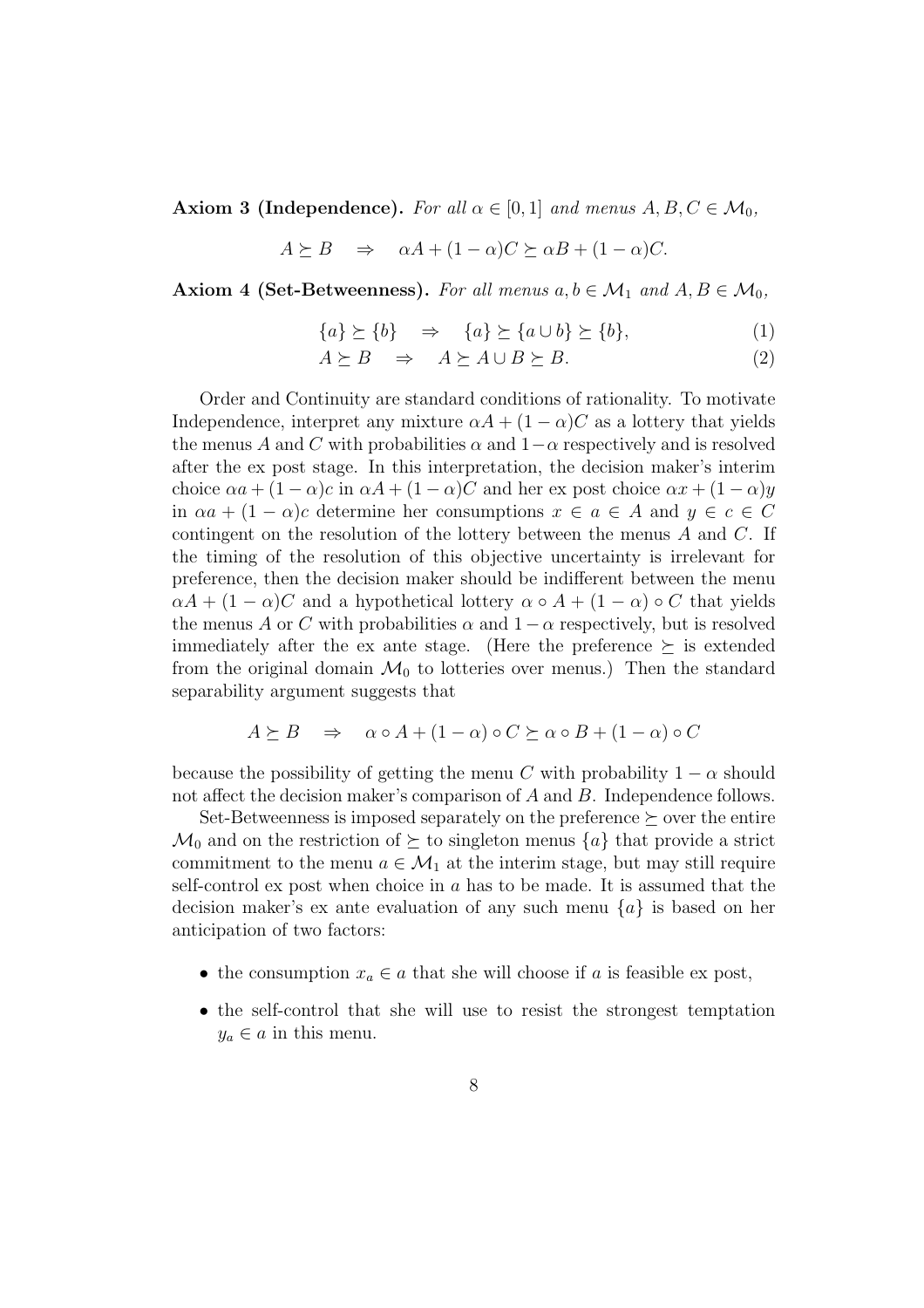**Axiom 3 (Independence).** For all  $\alpha \in [0,1]$  and menus  $A, B, C \in \mathcal{M}_0$ ,

$$
A \succeq B \quad \Rightarrow \quad \alpha A + (1 - \alpha)C \succeq \alpha B + (1 - \alpha)C.
$$

Axiom 4 (Set-Betweenness). For all menus  $a, b \in \mathcal{M}_1$  and  $A, B \in \mathcal{M}_0$ ,

$$
\{a\} \succeq \{b\} \quad \Rightarrow \quad \{a\} \succeq \{a \cup b\} \succeq \{b\},\tag{1}
$$

$$
A \succeq B \quad \Rightarrow \quad A \succeq A \cup B \succeq B. \tag{2}
$$

Order and Continuity are standard conditions of rationality. To motivate Independence, interpret any mixture  $\alpha A + (1 - \alpha)C$  as a lottery that yields the menus A and C with probabilities  $\alpha$  and  $1-\alpha$  respectively and is resolved after the ex post stage. In this interpretation, the decision maker's interim choice  $\alpha a + (1 - \alpha)c$  in  $\alpha A + (1 - \alpha)C$  and her ex post choice  $\alpha x + (1 - \alpha)y$ in  $\alpha a + (1 - \alpha)c$  determine her consumptions  $x \in a \in A$  and  $y \in c \in C$ contingent on the resolution of the lottery between the menus  $A$  and  $C$ . If the timing of the resolution of this objective uncertainty is irrelevant for preference, then the decision maker should be indifferent between the menu  $\alpha A + (1 - \alpha)C$  and a hypothetical lottery  $\alpha \circ A + (1 - \alpha) \circ C$  that yields the menus A or C with probabilities  $\alpha$  and  $1-\alpha$  respectively, but is resolved immediately after the ex ante stage. (Here the preference  $\succeq$  is extended from the original domain  $\mathcal{M}_0$  to lotteries over menus.) Then the standard separability argument suggests that

$$
A \succeq B \Rightarrow \alpha \circ A + (1 - \alpha) \circ C \succeq \alpha \circ B + (1 - \alpha) \circ C
$$

because the possibility of getting the menu C with probability  $1 - \alpha$  should not affect the decision maker's comparison of A and B. Independence follows.

Set-Betweenness is imposed separately on the preference  $\succeq$  over the entire  $\mathcal{M}_0$  and on the restriction of  $\succeq$  to singleton menus  $\{a\}$  that provide a strict commitment to the menu  $a \in \mathcal{M}_1$  at the interim stage, but may still require self-control ex post when choice in  $a$  has to be made. It is assumed that the decision maker's ex ante evaluation of any such menu  $\{a\}$  is based on her anticipation of two factors:

- the consumption  $x_a \in a$  that she will choose if a is feasible ex post,
- the self-control that she will use to resist the strongest temptation  $y_a \in a$  in this menu.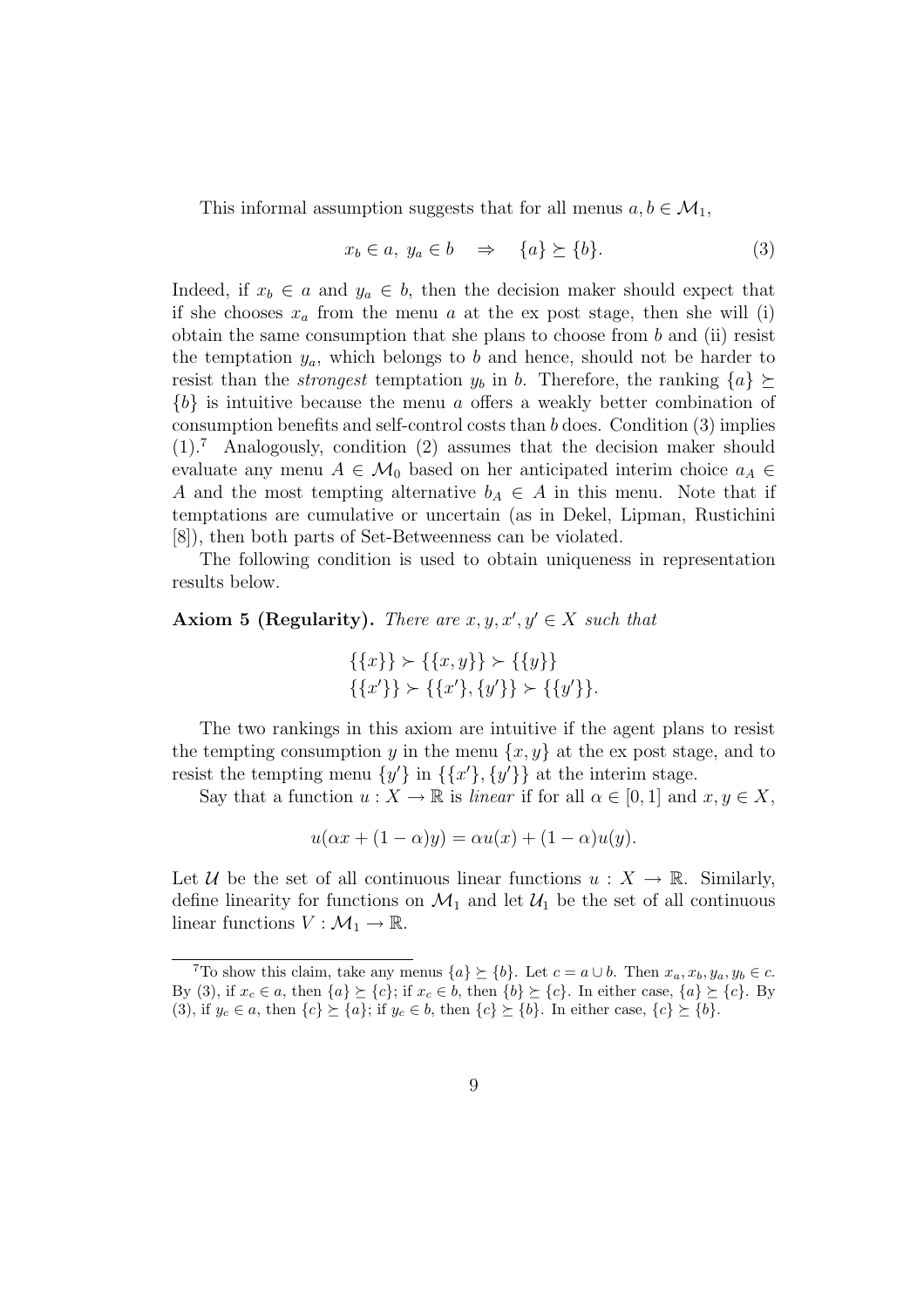This informal assumption suggests that for all menus  $a, b \in \mathcal{M}_1$ ,

$$
x_b \in a, \ y_a \in b \quad \Rightarrow \quad \{a\} \succeq \{b\}. \tag{3}
$$

Indeed, if  $x_b \in a$  and  $y_a \in b$ , then the decision maker should expect that if she chooses  $x_a$  from the menu a at the ex post stage, then she will (i) obtain the same consumption that she plans to choose from  $b$  and (ii) resist the temptation  $y_a$ , which belongs to b and hence, should not be harder to resist than the *strongest* temptation  $y_b$  in b. Therefore, the ranking  $\{a\} \succeq$  ${b}$  is intuitive because the menu a offers a weakly better combination of consumption benefits and self-control costs than b does. Condition (3) implies  $(1).7$  Analogously, condition  $(2)$  assumes that the decision maker should evaluate any menu  $A \in \mathcal{M}_0$  based on her anticipated interim choice  $a_A \in$ A and the most tempting alternative  $b_A \in A$  in this menu. Note that if temptations are cumulative or uncertain (as in Dekel, Lipman, Rustichini [8]), then both parts of Set-Betweenness can be violated.

The following condition is used to obtain uniqueness in representation results below.

### Axiom 5 (Regularity). There are  $x, y, x', y' \in X$  such that

$$
\{\{x\}\} \succ \{\{x,y\}\} \succ \{\{y\}\}\
$$

$$
\{\{x'\}\} \succ \{\{x'\}, \{y'\}\} \succ \{\{y'\}\}.
$$

The two rankings in this axiom are intuitive if the agent plans to resist the tempting consumption y in the menu  $\{x, y\}$  at the expost stage, and to resist the tempting menu  $\{y'\}$  in  $\{\{x'\}, \{y'\}\}\$ at the interim stage.

Say that a function  $u: X \to \mathbb{R}$  is *linear* if for all  $\alpha \in [0,1]$  and  $x, y \in X$ ,

$$
u(\alpha x + (1 - \alpha)y) = \alpha u(x) + (1 - \alpha)u(y).
$$

Let U be the set of all continuous linear functions  $u : X \to \mathbb{R}$ . Similarly, define linearity for functions on  $\mathcal{M}_1$  and let  $\mathcal{U}_1$  be the set of all continuous linear functions  $V : \mathcal{M}_1 \to \mathbb{R}$ .

<sup>&</sup>lt;sup>7</sup>To show this claim, take any menus  $\{a\} \succeq \{b\}$ . Let  $c = a \cup b$ . Then  $x_a, x_b, y_a, y_b \in c$ . By (3), if  $x_c \in a$ , then  $\{a\} \succeq \{c\}$ ; if  $x_c \in b$ , then  $\{b\} \succeq \{c\}$ . In either case,  $\{a\} \succeq \{c\}$ . By (3), if  $y_c \in a$ , then  $\{c\} \succeq \{a\}$ ; if  $y_c \in b$ , then  $\{c\} \succeq \{b\}$ . In either case,  $\{c\} \succeq \{b\}$ .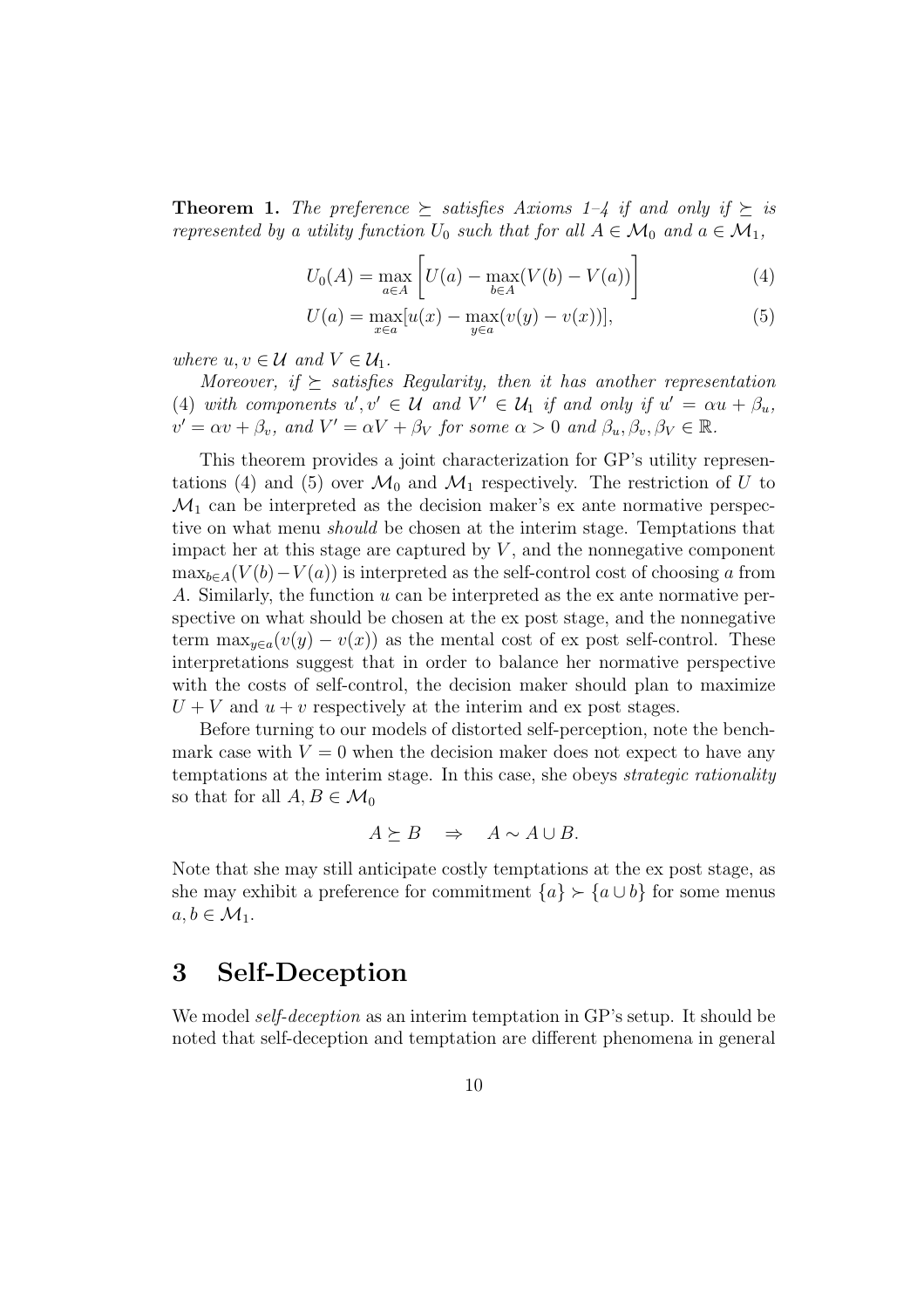**Theorem 1.** The preference  $\succeq$  satisfies Axioms 1–4 if and only if  $\succeq$  is represented by a utility function  $U_0$  such that for all  $A \in \mathcal{M}_0$  and  $a \in \mathcal{M}_1$ ,

$$
U_0(A) = \max_{a \in A} \left[ U(a) - \max_{b \in A} (V(b) - V(a)) \right]
$$
 (4)

$$
U(a) = \max_{x \in a} [u(x) - \max_{y \in a} (v(y) - v(x))],
$$
\n(5)

where  $u, v \in \mathcal{U}$  and  $V \in \mathcal{U}_1$ .

Moreover, if  $\succeq$  satisfies Regularity, then it has another representation (4) with components  $u', v' \in \mathcal{U}$  and  $V' \in \mathcal{U}_1$  if and only if  $u' = \alpha u + \beta_u$ ,  $v' = \alpha v + \beta_v$ , and  $V' = \alpha V + \beta_V$  for some  $\alpha > 0$  and  $\beta_u, \beta_v, \beta_V \in \mathbb{R}$ .

This theorem provides a joint characterization for GP's utility representations (4) and (5) over  $\mathcal{M}_0$  and  $\mathcal{M}_1$  respectively. The restriction of U to  $\mathcal{M}_1$  can be interpreted as the decision maker's ex ante normative perspective on what menu should be chosen at the interim stage. Temptations that impact her at this stage are captured by  $V$ , and the nonnegative component  $\max_{b \in A}(V(b)-V(a))$  is interpreted as the self-control cost of choosing a from A. Similarly, the function u can be interpreted as the ex ante normative perspective on what should be chosen at the ex post stage, and the nonnegative term  $\max_{y \in a}(v(y) - v(x))$  as the mental cost of ex post self-control. These interpretations suggest that in order to balance her normative perspective with the costs of self-control, the decision maker should plan to maximize  $U + V$  and  $u + v$  respectively at the interim and ex post stages.

Before turning to our models of distorted self-perception, note the benchmark case with  $V = 0$  when the decision maker does not expect to have any temptations at the interim stage. In this case, she obeys strategic rationality so that for all  $A, B \in \mathcal{M}_0$ 

$$
A \succeq B \quad \Rightarrow \quad A \sim A \cup B.
$$

Note that she may still anticipate costly temptations at the ex post stage, as she may exhibit a preference for commitment  ${a} \succ {a \cup b}$  for some menus  $a, b \in \mathcal{M}_1$ .

### 3 Self-Deception

We model *self-deception* as an interim temptation in GP's setup. It should be noted that self-deception and temptation are different phenomena in general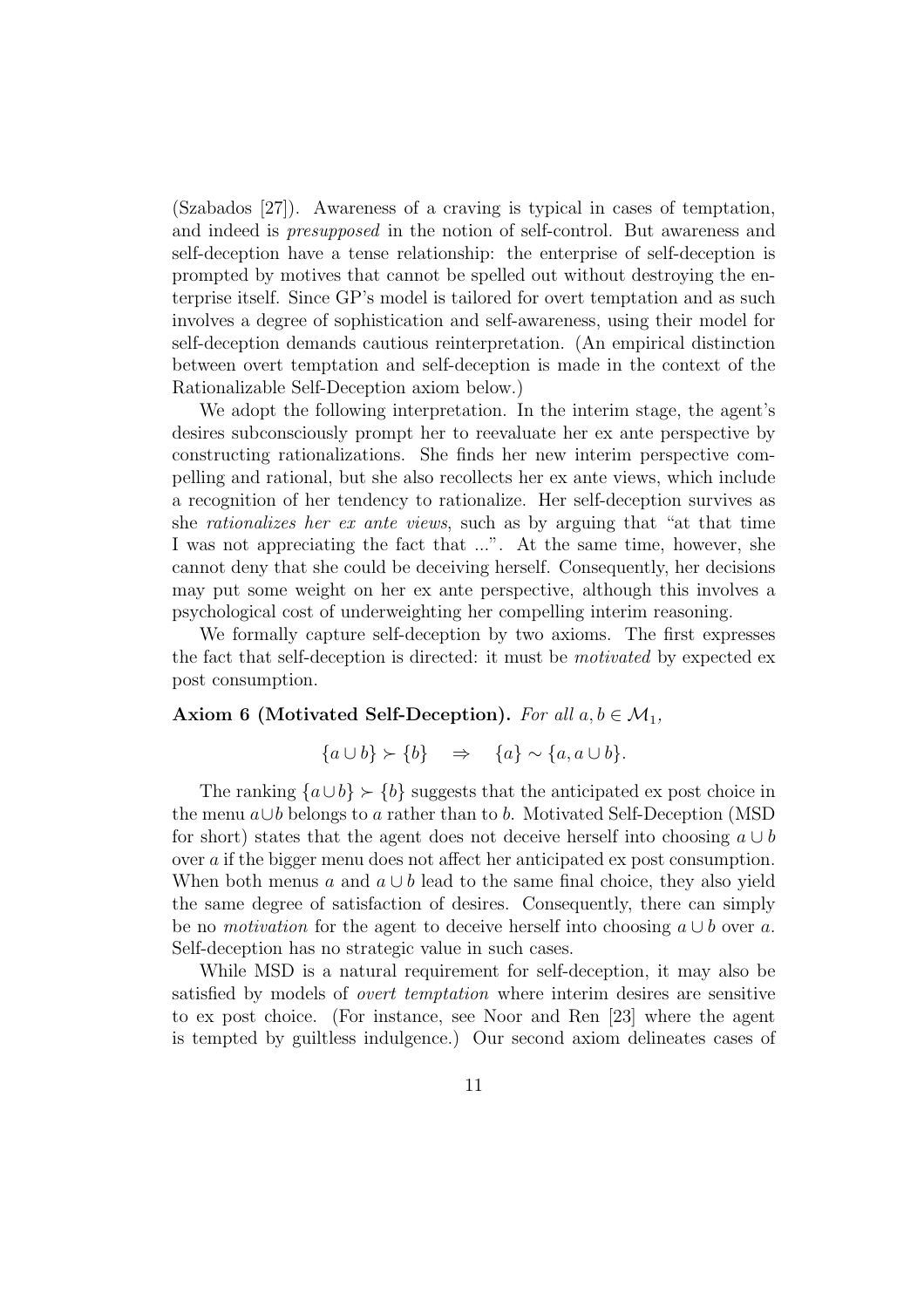(Szabados [27]). Awareness of a craving is typical in cases of temptation, and indeed is presupposed in the notion of self-control. But awareness and self-deception have a tense relationship: the enterprise of self-deception is prompted by motives that cannot be spelled out without destroying the enterprise itself. Since GP's model is tailored for overt temptation and as such involves a degree of sophistication and self-awareness, using their model for self-deception demands cautious reinterpretation. (An empirical distinction between overt temptation and self-deception is made in the context of the Rationalizable Self-Deception axiom below.)

We adopt the following interpretation. In the interim stage, the agent's desires subconsciously prompt her to reevaluate her ex ante perspective by constructing rationalizations. She finds her new interim perspective compelling and rational, but she also recollects her ex ante views, which include a recognition of her tendency to rationalize. Her self-deception survives as she rationalizes her ex ante views, such as by arguing that "at that time I was not appreciating the fact that ...". At the same time, however, she cannot deny that she could be deceiving herself. Consequently, her decisions may put some weight on her ex ante perspective, although this involves a psychological cost of underweighting her compelling interim reasoning.

We formally capture self-deception by two axioms. The first expresses the fact that self-deception is directed: it must be motivated by expected ex post consumption.

#### Axiom 6 (Motivated Self-Deception). For all  $a, b \in \mathcal{M}_1$ ,

$$
\{a \cup b\} \succ \{b\} \Rightarrow \{a\} \sim \{a, a \cup b\}.
$$

The ranking  ${a \cup b} \succ {b}$  suggests that the anticipated ex post choice in the menu a∪b belongs to a rather than to b. Motivated Self-Deception (MSD for short) states that the agent does not deceive herself into choosing  $a \cup b$ over a if the bigger menu does not affect her anticipated ex post consumption. When both menus a and  $a \cup b$  lead to the same final choice, they also yield the same degree of satisfaction of desires. Consequently, there can simply be no motivation for the agent to deceive herself into choosing  $a \cup b$  over a. Self-deception has no strategic value in such cases.

While MSD is a natural requirement for self-deception, it may also be satisfied by models of overt temptation where interim desires are sensitive to ex post choice. (For instance, see Noor and Ren [23] where the agent is tempted by guiltless indulgence.) Our second axiom delineates cases of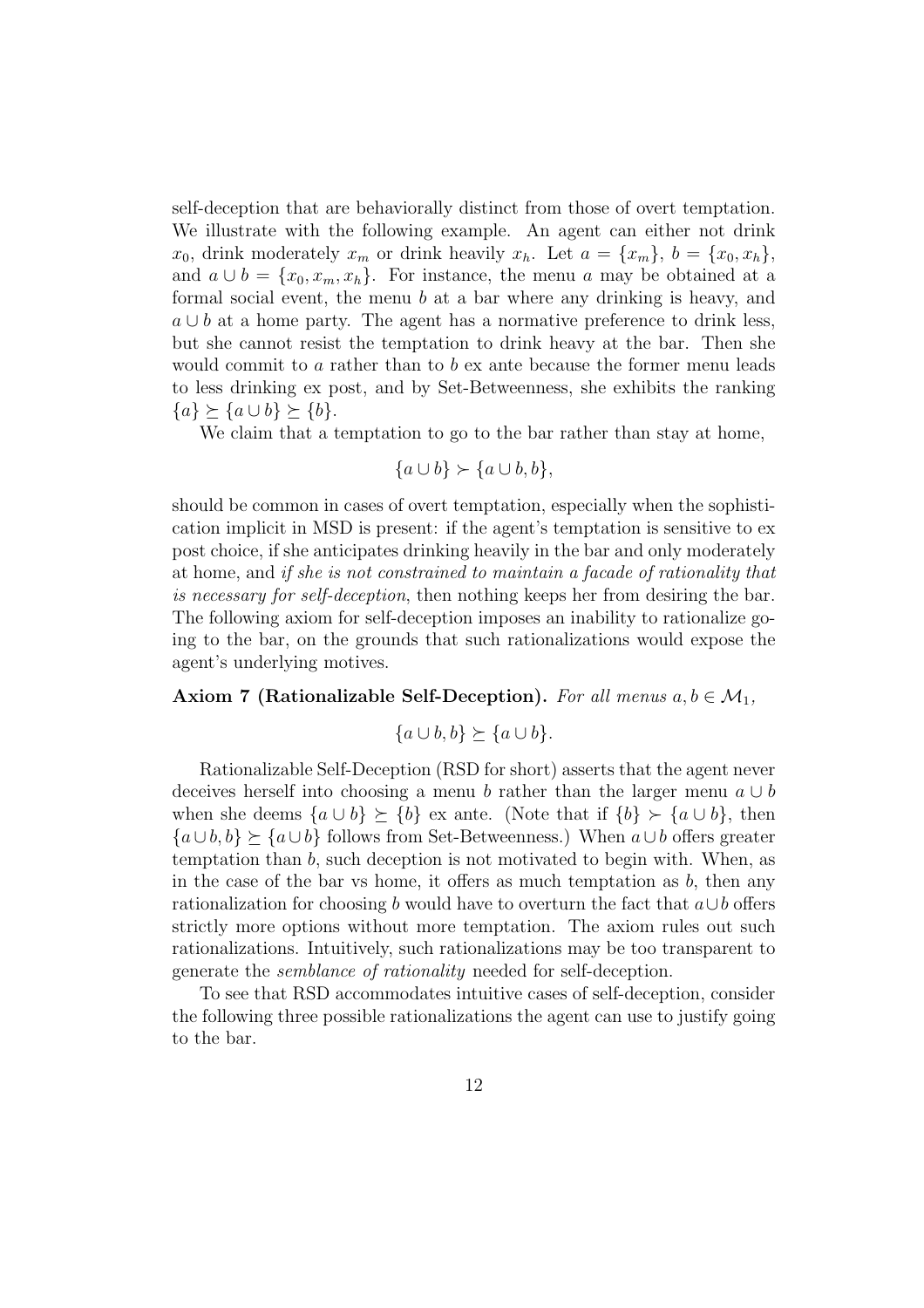self-deception that are behaviorally distinct from those of overt temptation. We illustrate with the following example. An agent can either not drink  $x_0$ , drink moderately  $x_m$  or drink heavily  $x_h$ . Let  $a = \{x_m\}, b = \{x_0, x_h\},\$ and  $a \cup b = \{x_0, x_m, x_h\}$ . For instance, the menu a may be obtained at a formal social event, the menu b at a bar where any drinking is heavy, and  $a \cup b$  at a home party. The agent has a normative preference to drink less, but she cannot resist the temptation to drink heavy at the bar. Then she would commit to  $a$  rather than to  $b$  ex ante because the former menu leads to less drinking ex post, and by Set-Betweenness, she exhibits the ranking  ${a} \succeq {a \cup b} \succeq {b}.$ 

We claim that a temptation to go to the bar rather than stay at home,

$$
\{a \cup b\} \succ \{a \cup b, b\},\
$$

should be common in cases of overt temptation, especially when the sophistication implicit in MSD is present: if the agent's temptation is sensitive to ex post choice, if she anticipates drinking heavily in the bar and only moderately at home, and if she is not constrained to maintain a facade of rationality that is necessary for self-deception, then nothing keeps her from desiring the bar. The following axiom for self-deception imposes an inability to rationalize going to the bar, on the grounds that such rationalizations would expose the agent's underlying motives.

#### Axiom 7 (Rationalizable Self-Deception). For all menus  $a, b \in \mathcal{M}_1$ ,

$$
\{a \cup b, b\} \succeq \{a \cup b\}.
$$

Rationalizable Self-Deception (RSD for short) asserts that the agent never deceives herself into choosing a menu b rather than the larger menu  $a \cup b$ when she deems  $\{a \cup b\} \succeq \{b\}$  ex ante. (Note that if  $\{b\} \succ \{a \cup b\}$ , then  ${a \cup b, b} \succeq {a \cup b}$  follows from Set-Betweenness.) When  $a \cup b$  offers greater temptation than b, such deception is not motivated to begin with. When, as in the case of the bar vs home, it offers as much temptation as  $b$ , then any rationalization for choosing b would have to overturn the fact that  $a \cup b$  offers strictly more options without more temptation. The axiom rules out such rationalizations. Intuitively, such rationalizations may be too transparent to generate the semblance of rationality needed for self-deception.

To see that RSD accommodates intuitive cases of self-deception, consider the following three possible rationalizations the agent can use to justify going to the bar.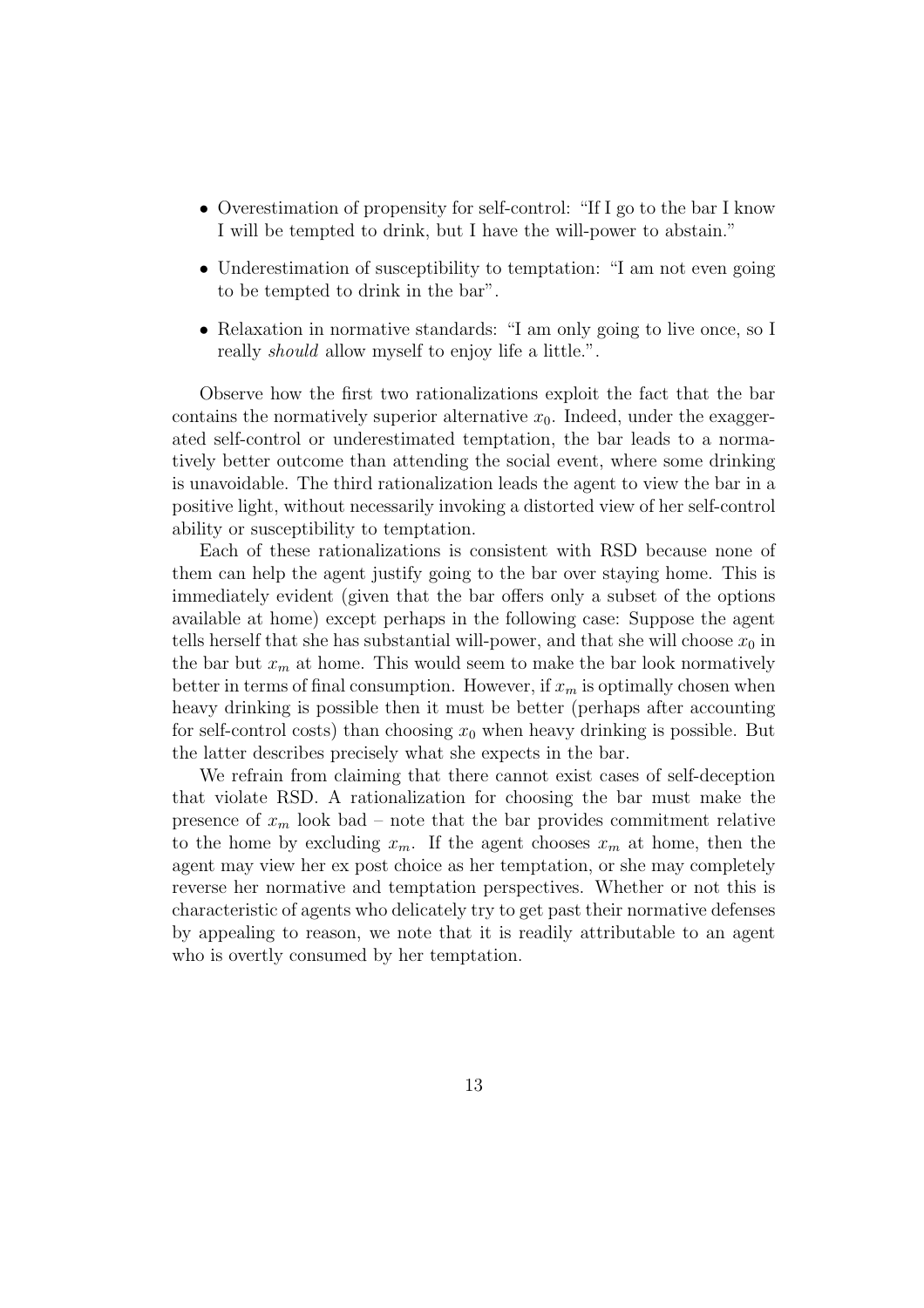- Overestimation of propensity for self-control: "If I go to the bar I know I will be tempted to drink, but I have the will-power to abstain."
- Underestimation of susceptibility to temptation: "I am not even going to be tempted to drink in the bar".
- Relaxation in normative standards: "I am only going to live once, so I really should allow myself to enjoy life a little.".

Observe how the first two rationalizations exploit the fact that the bar contains the normatively superior alternative  $x_0$ . Indeed, under the exaggerated self-control or underestimated temptation, the bar leads to a normatively better outcome than attending the social event, where some drinking is unavoidable. The third rationalization leads the agent to view the bar in a positive light, without necessarily invoking a distorted view of her self-control ability or susceptibility to temptation.

Each of these rationalizations is consistent with RSD because none of them can help the agent justify going to the bar over staying home. This is immediately evident (given that the bar offers only a subset of the options available at home) except perhaps in the following case: Suppose the agent tells herself that she has substantial will-power, and that she will choose  $x_0$  in the bar but  $x_m$  at home. This would seem to make the bar look normatively better in terms of final consumption. However, if  $x_m$  is optimally chosen when heavy drinking is possible then it must be better (perhaps after accounting for self-control costs) than choosing  $x_0$  when heavy drinking is possible. But the latter describes precisely what she expects in the bar.

We refrain from claiming that there cannot exist cases of self-deception that violate RSD. A rationalization for choosing the bar must make the presence of  $x_m$  look bad – note that the bar provides commitment relative to the home by excluding  $x_m$ . If the agent chooses  $x_m$  at home, then the agent may view her ex post choice as her temptation, or she may completely reverse her normative and temptation perspectives. Whether or not this is characteristic of agents who delicately try to get past their normative defenses by appealing to reason, we note that it is readily attributable to an agent who is overtly consumed by her temptation.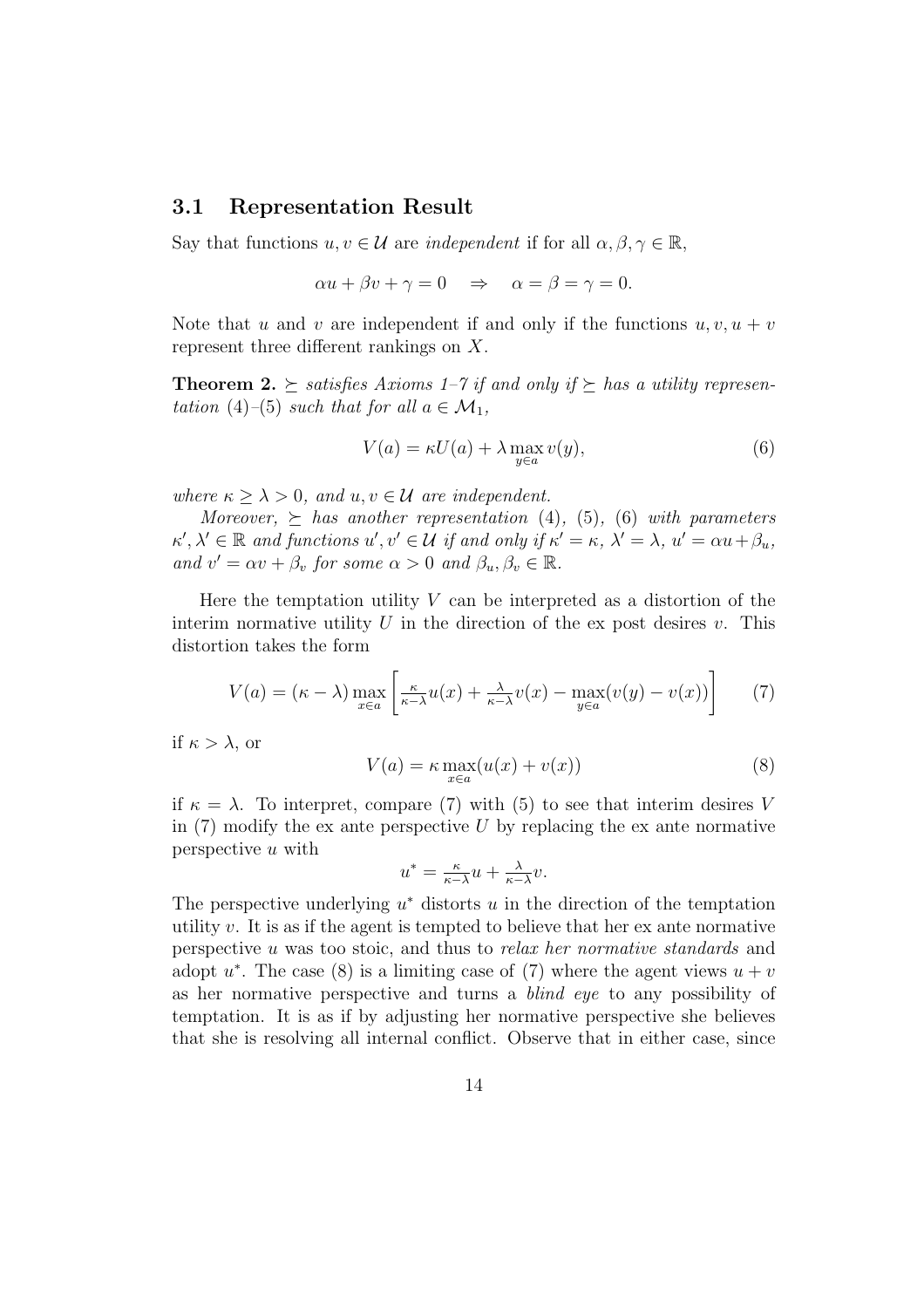### 3.1 Representation Result

Say that functions  $u, v \in \mathcal{U}$  are *independent* if for all  $\alpha, \beta, \gamma \in \mathbb{R}$ ,

$$
\alpha u + \beta v + \gamma = 0 \quad \Rightarrow \quad \alpha = \beta = \gamma = 0.
$$

Note that u and v are independent if and only if the functions  $u, v, u + v$ represent three different rankings on X.

**Theorem 2.**  $\succeq$  satisfies Axioms 1–7 if and only if  $\succeq$  has a utility representation (4)–(5) such that for all  $a \in \mathcal{M}_1$ ,

$$
V(a) = \kappa U(a) + \lambda \max_{y \in a} v(y),\tag{6}
$$

where  $\kappa \geq \lambda > 0$ , and  $u, v \in \mathcal{U}$  are independent.

Moreover,  $\succ$  has another representation (4), (5), (6) with parameters  $\kappa', \lambda' \in \mathbb{R}$  and functions  $u', v' \in \mathcal{U}$  if and only if  $\kappa' = \kappa, \lambda' = \lambda, u' = \alpha u + \beta_u$ , and  $v' = \alpha v + \beta_v$  for some  $\alpha > 0$  and  $\beta_u, \beta_v \in \mathbb{R}$ .

Here the temptation utility  $V$  can be interpreted as a distortion of the interim normative utility U in the direction of the ex post desires  $v$ . This distortion takes the form

$$
V(a) = (\kappa - \lambda) \max_{x \in a} \left[ \frac{\kappa}{\kappa - \lambda} u(x) + \frac{\lambda}{\kappa - \lambda} v(x) - \max_{y \in a} (v(y) - v(x)) \right] \tag{7}
$$

if  $\kappa > \lambda$ , or

$$
V(a) = \kappa \max_{x \in a} (u(x) + v(x))
$$
\n(8)

if  $\kappa = \lambda$ . To interpret, compare (7) with (5) to see that interim desires V in  $(7)$  modify the ex ante perspective U by replacing the ex ante normative perspective u with

$$
u^* = \frac{\kappa}{\kappa - \lambda} u + \frac{\lambda}{\kappa - \lambda} v.
$$

The perspective underlying  $u^*$  distorts u in the direction of the temptation utility  $v$ . It is as if the agent is tempted to believe that her ex ante normative perspective u was too stoic, and thus to relax her normative standards and adopt  $u^*$ . The case (8) is a limiting case of (7) where the agent views  $u + v$ as her normative perspective and turns a blind eye to any possibility of temptation. It is as if by adjusting her normative perspective she believes that she is resolving all internal conflict. Observe that in either case, since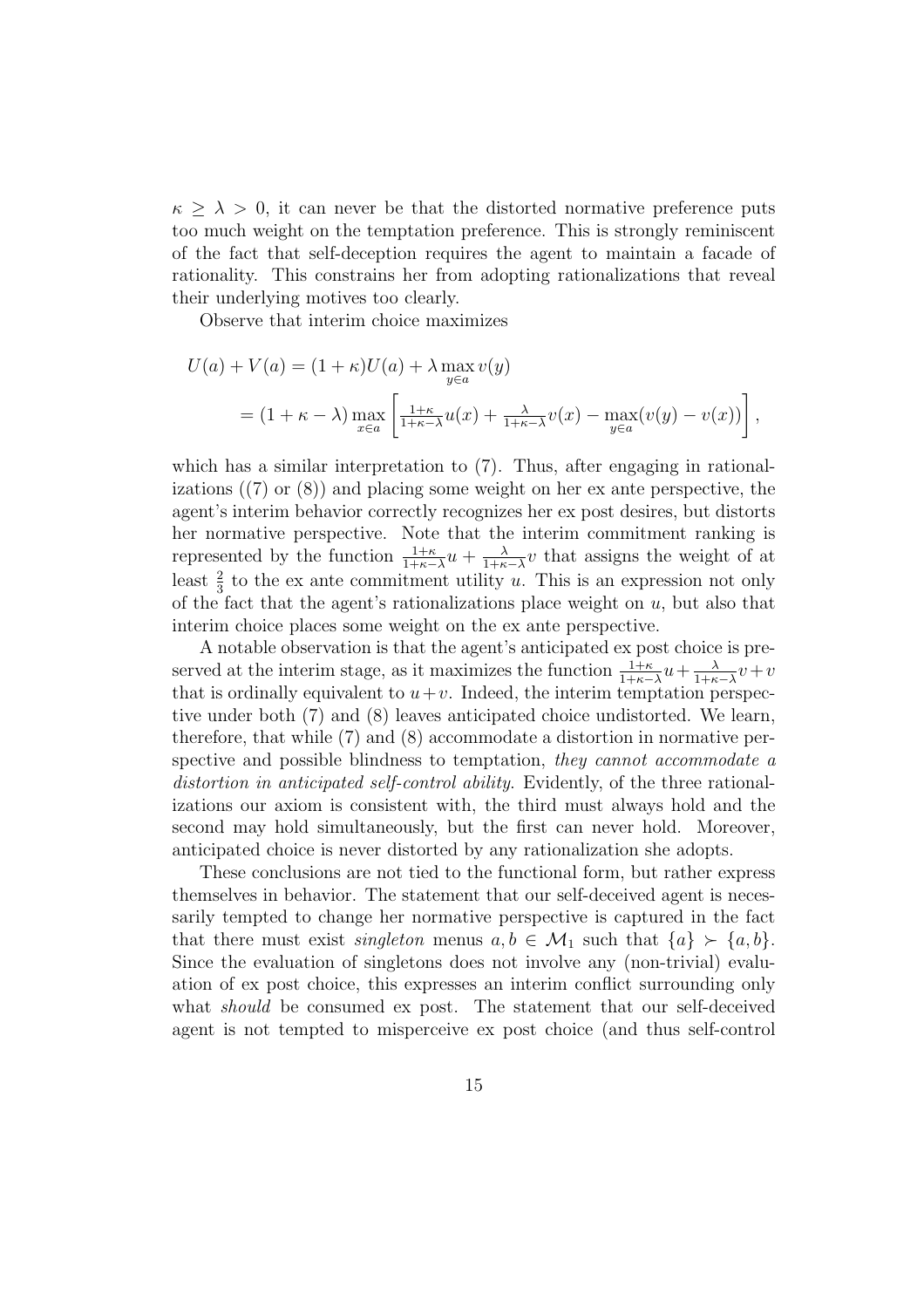$\kappa \geq \lambda > 0$ , it can never be that the distorted normative preference puts too much weight on the temptation preference. This is strongly reminiscent of the fact that self-deception requires the agent to maintain a facade of rationality. This constrains her from adopting rationalizations that reveal their underlying motives too clearly.

Observe that interim choice maximizes

$$
U(a) + V(a) = (1 + \kappa)U(a) + \lambda \max_{y \in a} v(y)
$$
  
=  $(1 + \kappa - \lambda) \max_{x \in a} \left[ \frac{1 + \kappa}{1 + \kappa - \lambda} u(x) + \frac{\lambda}{1 + \kappa - \lambda} v(x) - \max_{y \in a} (v(y) - v(x)) \right],$ 

which has a similar interpretation to  $(7)$ . Thus, after engaging in rationalizations ((7) or (8)) and placing some weight on her ex ante perspective, the agent's interim behavior correctly recognizes her ex post desires, but distorts her normative perspective. Note that the interim commitment ranking is represented by the function  $\frac{1+\kappa}{1+\kappa-\lambda}u + \frac{\lambda}{1+\kappa}$  $\frac{\lambda}{1+\kappa-\lambda}v$  that assigns the weight of at least  $\frac{2}{3}$  to the ex ante commitment utility u. This is an expression not only of the fact that the agent's rationalizations place weight on  $u$ , but also that interim choice places some weight on the ex ante perspective.

A notable observation is that the agent's anticipated ex post choice is preserved at the interim stage, as it maximizes the function  $\frac{1+\kappa}{1+\kappa-\lambda}u+\frac{\lambda}{1+\kappa}$  $\frac{\lambda}{1+\kappa-\lambda}v+v$ that is ordinally equivalent to  $u+v$ . Indeed, the interim temptation perspective under both (7) and (8) leaves anticipated choice undistorted. We learn, therefore, that while (7) and (8) accommodate a distortion in normative perspective and possible blindness to temptation, they cannot accommodate a distortion in anticipated self-control ability. Evidently, of the three rationalizations our axiom is consistent with, the third must always hold and the second may hold simultaneously, but the first can never hold. Moreover, anticipated choice is never distorted by any rationalization she adopts.

These conclusions are not tied to the functional form, but rather express themselves in behavior. The statement that our self-deceived agent is necessarily tempted to change her normative perspective is captured in the fact that there must exist *singleton* menus  $a, b \in \mathcal{M}_1$  such that  $\{a\} \succ \{a, b\}.$ Since the evaluation of singletons does not involve any (non-trivial) evaluation of ex post choice, this expresses an interim conflict surrounding only what *should* be consumed ex post. The statement that our self-deceived agent is not tempted to misperceive ex post choice (and thus self-control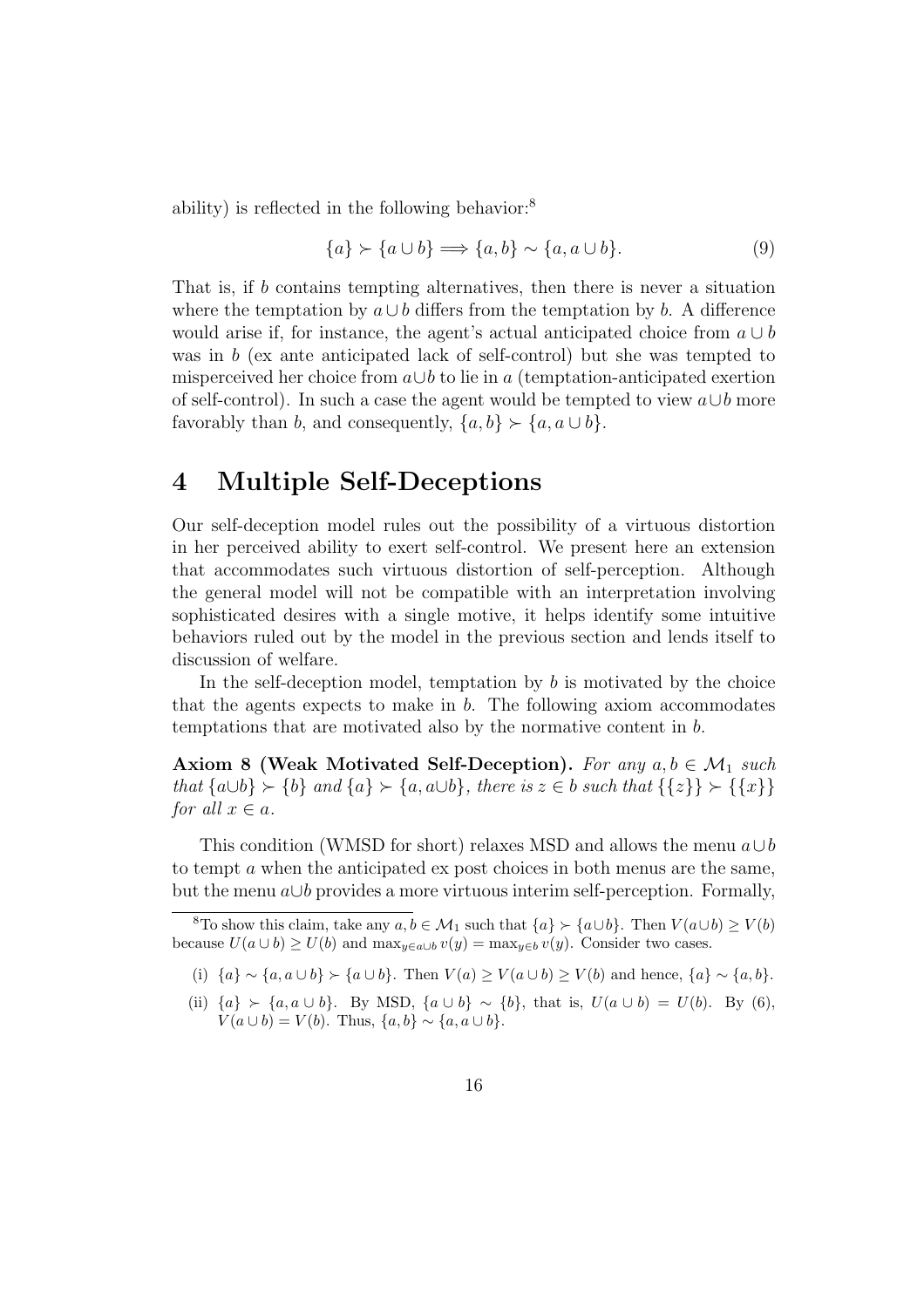ability) is reflected in the following behavior:<sup>8</sup>

$$
\{a\} \succ \{a \cup b\} \Longrightarrow \{a, b\} \sim \{a, a \cup b\}.\tag{9}
$$

That is, if b contains tempting alternatives, then there is never a situation where the temptation by  $a \cup b$  differs from the temptation by b. A difference would arise if, for instance, the agent's actual anticipated choice from  $a \cup b$ was in b (ex ante anticipated lack of self-control) but she was tempted to misperceived her choice from  $a \cup b$  to lie in a (temptation-anticipated exertion of self-control). In such a case the agent would be tempted to view  $a \cup b$  more favorably than b, and consequently,  $\{a, b\} \succ \{a, a \cup b\}.$ 

## 4 Multiple Self-Deceptions

Our self-deception model rules out the possibility of a virtuous distortion in her perceived ability to exert self-control. We present here an extension that accommodates such virtuous distortion of self-perception. Although the general model will not be compatible with an interpretation involving sophisticated desires with a single motive, it helps identify some intuitive behaviors ruled out by the model in the previous section and lends itself to discussion of welfare.

In the self-deception model, temptation by  $b$  is motivated by the choice that the agents expects to make in  $b$ . The following axiom accommodates temptations that are motivated also by the normative content in b.

Axiom 8 (Weak Motivated Self-Deception). For any  $a, b \in \mathcal{M}_1$  such that  $\{a \cup b\} \succ \{b\}$  and  $\{a\} \succ \{a, a \cup b\}$ , there is  $z \in b$  such that  $\{\{z\}\} \succ \{\{x\}\}\$ for all  $x \in a$ .

This condition (WMSD for short) relaxes MSD and allows the menu  $a \cup b$ to tempt a when the anticipated ex post choices in both menus are the same, but the menu  $a \cup b$  provides a more virtuous interim self-perception. Formally,

(i)  $\{a\} \sim \{a, a \cup b\}$  ≻  $\{a \cup b\}$ . Then  $V(a) \ge V(a \cup b) \ge V(b)$  and hence,  $\{a\} \sim \{a, b\}$ .

(ii)  ${a} \succ {a, a \cup b}$ . By MSD,  ${a \cup b} \sim {b}$ , that is,  $U(a \cup b) = U(b)$ . By (6),  $V(a \cup b) = V(b)$ . Thus,  $\{a, b\} \sim \{a, a \cup b\}$ .

<sup>&</sup>lt;sup>8</sup>To show this claim, take any  $a, b \in M_1$  such that  $\{a\} \succ \{a \cup b\}$ . Then  $V (a \cup b) \geq V (b)$ because  $U(a \cup b) \ge U(b)$  and  $\max_{y \in a \cup b} v(y) = \max_{y \in b} v(y)$ . Consider two cases.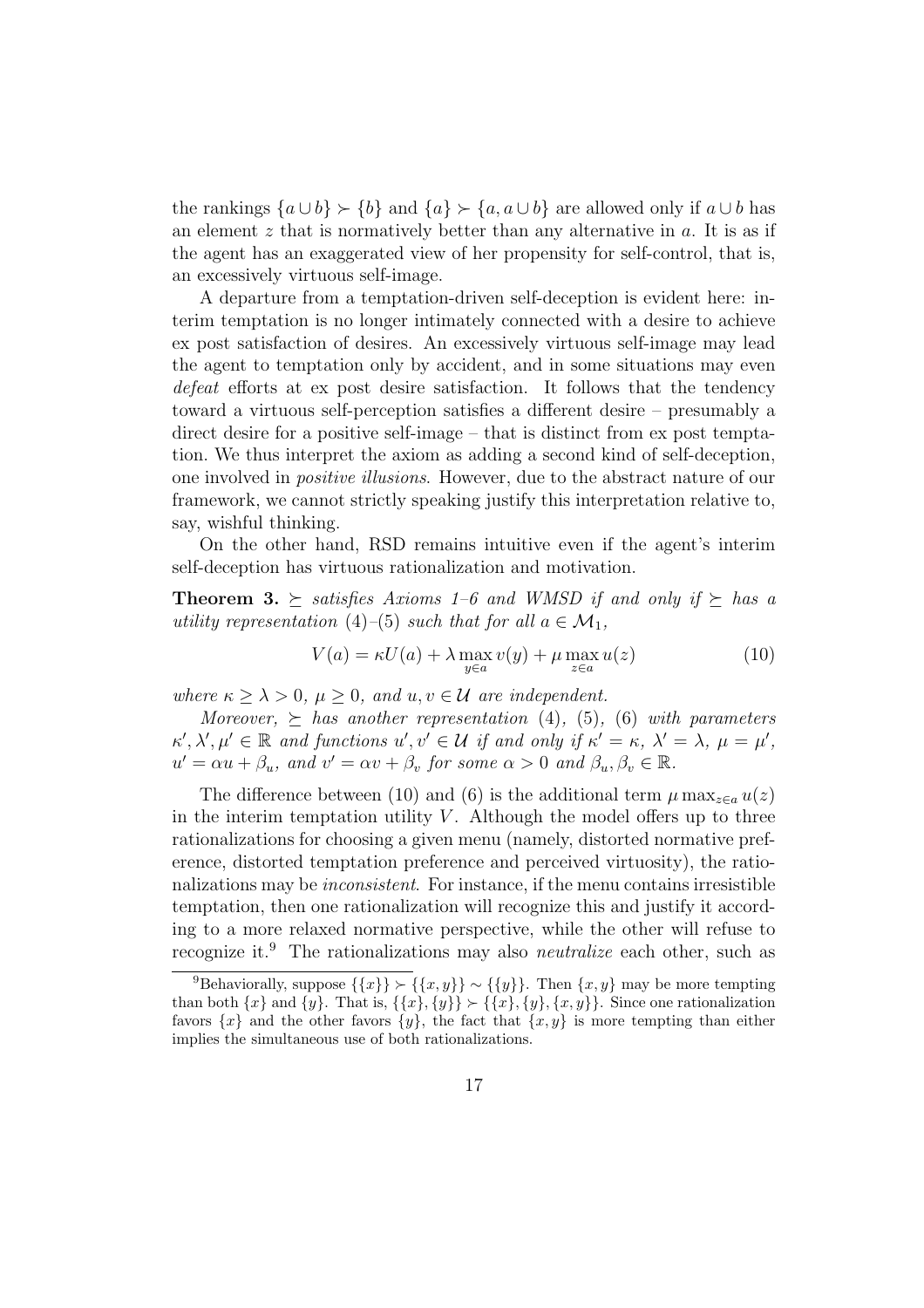the rankings  $\{a \cup b\} \succ \{b\}$  and  $\{a\} \succ \{a, a \cup b\}$  are allowed only if  $a \cup b$  has an element  $z$  that is normatively better than any alternative in  $a$ . It is as if the agent has an exaggerated view of her propensity for self-control, that is, an excessively virtuous self-image.

A departure from a temptation-driven self-deception is evident here: interim temptation is no longer intimately connected with a desire to achieve ex post satisfaction of desires. An excessively virtuous self-image may lead the agent to temptation only by accident, and in some situations may even defeat efforts at ex post desire satisfaction. It follows that the tendency toward a virtuous self-perception satisfies a different desire – presumably a direct desire for a positive self-image – that is distinct from ex post temptation. We thus interpret the axiom as adding a second kind of self-deception, one involved in positive illusions. However, due to the abstract nature of our framework, we cannot strictly speaking justify this interpretation relative to, say, wishful thinking.

On the other hand, RSD remains intuitive even if the agent's interim self-deception has virtuous rationalization and motivation.

**Theorem 3.**  $\succeq$  satisfies Axioms 1–6 and WMSD if and only if  $\succeq$  has a utility representation (4)–(5) such that for all  $a \in \mathcal{M}_1$ ,

$$
V(a) = \kappa U(a) + \lambda \max_{y \in a} v(y) + \mu \max_{z \in a} u(z)
$$
 (10)

where  $\kappa \geq \lambda > 0$ ,  $\mu \geq 0$ , and  $u, v \in \mathcal{U}$  are independent.

Moreover,  $\succeq$  has another representation (4), (5), (6) with parameters  $\kappa', \lambda', \mu' \in \mathbb{R}$  and functions  $u', v' \in \mathcal{U}$  if and only if  $\kappa' = \kappa, \lambda' = \lambda, \mu = \mu'$ ,  $u' = \alpha u + \beta_u$ , and  $v' = \alpha v + \beta_v$  for some  $\alpha > 0$  and  $\beta_u, \beta_v \in \mathbb{R}$ .

The difference between (10) and (6) is the additional term  $\mu \max_{z \in a} u(z)$ in the interim temptation utility  $V$ . Although the model offers up to three rationalizations for choosing a given menu (namely, distorted normative preference, distorted temptation preference and perceived virtuosity), the rationalizations may be *inconsistent*. For instance, if the menu contains irresistible temptation, then one rationalization will recognize this and justify it according to a more relaxed normative perspective, while the other will refuse to recognize it.<sup>9</sup> The rationalizations may also neutralize each other, such as

<sup>&</sup>lt;sup>9</sup>Behaviorally, suppose  $\{\{x\}\}\n\sim \{\{y\}\}\n\sim \{\{y\}\}\n\quad$ Then  $\{x, y\}$  may be more tempting than both  $\{x\}$  and  $\{y\}$ . That is,  $\{\{x\}, \{y\}\} \succ \{\{x\}, \{y\}, \{x, y\}\}\$ . Since one rationalization favors  $\{x\}$  and the other favors  $\{y\}$ , the fact that  $\{x, y\}$  is more tempting than either implies the simultaneous use of both rationalizations.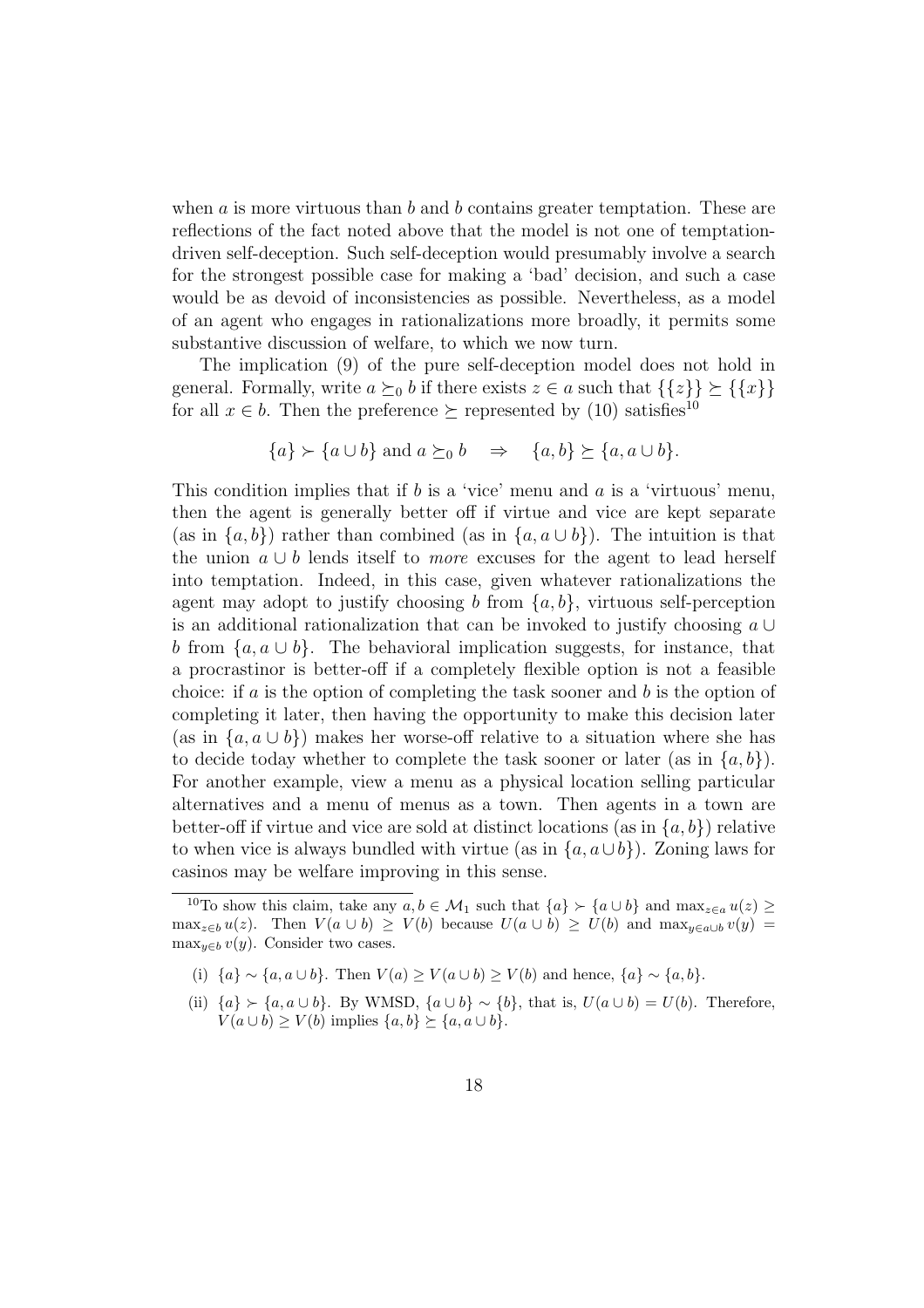when a is more virtuous than b and b contains greater temptation. These are reflections of the fact noted above that the model is not one of temptationdriven self-deception. Such self-deception would presumably involve a search for the strongest possible case for making a 'bad' decision, and such a case would be as devoid of inconsistencies as possible. Nevertheless, as a model of an agent who engages in rationalizations more broadly, it permits some substantive discussion of welfare, to which we now turn.

The implication (9) of the pure self-deception model does not hold in general. Formally, write  $a \succeq_0 b$  if there exists  $z \in a$  such that  $\{\{z\}\}\succeq \{\{x\}\}\$ for all  $x \in b$ . Then the preference  $\succeq$  represented by (10) satisfies<sup>10</sup>

$$
\{a\} \succ \{a \cup b\} \text{ and } a \succeq_0 b \quad \Rightarrow \quad \{a, b\} \succeq \{a, a \cup b\}.
$$

This condition implies that if b is a 'vice' menu and a is a 'virtuous' menu, then the agent is generally better off if virtue and vice are kept separate (as in  $\{a, b\}$ ) rather than combined (as in  $\{a, a \cup b\}$ ). The intuition is that the union  $a \cup b$  lends itself to *more* excuses for the agent to lead herself into temptation. Indeed, in this case, given whatever rationalizations the agent may adopt to justify choosing b from  $\{a, b\}$ , virtuous self-perception is an additional rationalization that can be invoked to justify choosing a ∪ b from  ${a, a \cup b}$ . The behavioral implication suggests, for instance, that a procrastinor is better-off if a completely flexible option is not a feasible choice: if  $a$  is the option of completing the task sooner and  $b$  is the option of completing it later, then having the opportunity to make this decision later (as in  $\{a, a \cup b\}$ ) makes her worse-off relative to a situation where she has to decide today whether to complete the task sooner or later (as in  $\{a, b\}$ ). For another example, view a menu as a physical location selling particular alternatives and a menu of menus as a town. Then agents in a town are better-off if virtue and vice are sold at distinct locations (as in  $\{a, b\}$ ) relative to when vice is always bundled with virtue (as in  $\{a, a \cup b\}$ ). Zoning laws for casinos may be welfare improving in this sense.

(i)  $\{a\} \sim \{a, a \cup b\}$ . Then  $V(a) \ge V(a \cup b) \ge V(b)$  and hence,  $\{a\} \sim \{a, b\}$ .

(ii)  ${a} \succ {a, a \cup b}$ . By WMSD,  ${a \cup b} \sim {b}$ , that is,  $U(a \cup b) = U(b)$ . Therefore,  $V(a \cup b) \ge V(b)$  implies  $\{a, b\} \succeq \{a, a \cup b\}.$ 

<sup>&</sup>lt;sup>10</sup>To show this claim, take any  $a, b \in M_1$  such that  $\{a\} \succ \{a \cup b\}$  and  $\max_{z \in a} u(z) \ge$ max<sub>z∈b</sub> u(z). Then  $V(a \cup b) \ge V(b)$  because  $U(a \cup b) \ge U(b)$  and max<sub>y∈a∪b</sub> v(y) = max<sub> $y \in b$ </sub> v(y). Consider two cases.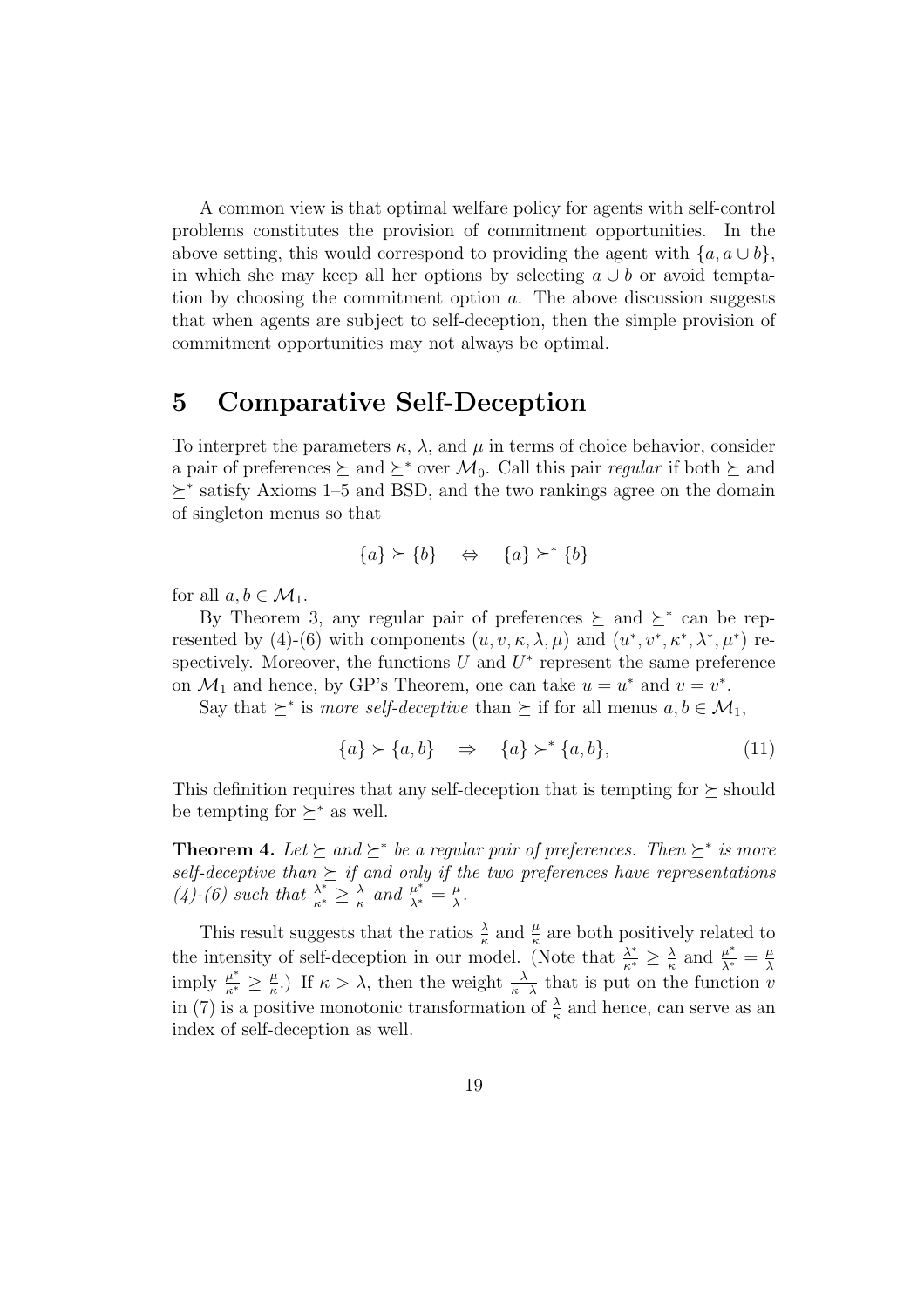A common view is that optimal welfare policy for agents with self-control problems constitutes the provision of commitment opportunities. In the above setting, this would correspond to providing the agent with  $\{a, a \cup b\},\$ in which she may keep all her options by selecting  $a \cup b$  or avoid temptation by choosing the commitment option  $a$ . The above discussion suggests that when agents are subject to self-deception, then the simple provision of commitment opportunities may not always be optimal.

# 5 Comparative Self-Deception

To interpret the parameters  $\kappa$ ,  $\lambda$ , and  $\mu$  in terms of choice behavior, consider a pair of preferences  $\succeq$  and  $\succeq^*$  over  $\mathcal{M}_0$ . Call this pair *regular* if both  $\succeq$  and  $\succeq^*$  satisfy Axioms 1–5 and BSD, and the two rankings agree on the domain of singleton menus so that

$$
\{a\} \succeq \{b\} \quad \Leftrightarrow \quad \{a\} \succeq^* \{b\}
$$

for all  $a, b \in \mathcal{M}_1$ .

By Theorem 3, any regular pair of preferences  $\succeq$  and  $\succeq^*$  can be represented by (4)-(6) with components  $(u, v, \kappa, \lambda, \mu)$  and  $(u^*, v^*, \kappa^*, \lambda^*, \mu^*)$  respectively. Moreover, the functions  $U$  and  $U^*$  represent the same preference on  $\mathcal{M}_1$  and hence, by GP's Theorem, one can take  $u = u^*$  and  $v = v^*$ .

Say that  $\succeq^*$  is *more self-deceptive* than  $\succeq$  if for all menus  $a, b \in \mathcal{M}_1$ ,

$$
\{a\} \succ \{a, b\} \quad \Rightarrow \quad \{a\} \succ^* \{a, b\}, \tag{11}
$$

This definition requires that any self-deception that is tempting for  $\succeq$  should be tempting for  $\succ^*$  as well.

**Theorem 4.** Let  $\succeq$  and  $\succeq^*$  be a regular pair of preferences. Then  $\succeq^*$  is more self-deceptive than  $\succeq$  if and only if the two preferences have representations  $(4)-(6)$  such that  $\frac{\lambda^*}{\kappa^*} \geq \frac{\lambda}{\kappa}$  $\frac{\lambda}{\kappa}$  and  $\frac{\mu^*}{\lambda^*} = \frac{\mu}{\lambda}$  $\frac{\mu}{\lambda}$ .

This result suggests that the ratios  $\frac{\lambda}{\kappa}$  and  $\frac{\mu}{\kappa}$  are both positively related to the intensity of self-deception in our model. (Note that  $\frac{\lambda^*}{\kappa^*} \geq \frac{\lambda}{\kappa}$  $\frac{\lambda}{\kappa}$  and  $\frac{\mu^*}{\lambda^*} = \frac{\mu}{\lambda}$ imply  $\frac{\mu^*}{\kappa^*} \geq \frac{\mu}{\kappa}$ .) If  $\kappa > \lambda$ , then the weight  $\frac{\lambda}{\kappa - \lambda}$  that is put on the function v  $\frac{\mu}{\kappa}$ .) If κ > λ, then the weight  $\frac{\lambda}{\kappa-\lambda}$  that is put on the function *v* in (7) is a positive monotonic transformation of  $\frac{\lambda}{\kappa}$  and hence, can serve as an index of self-deception as well.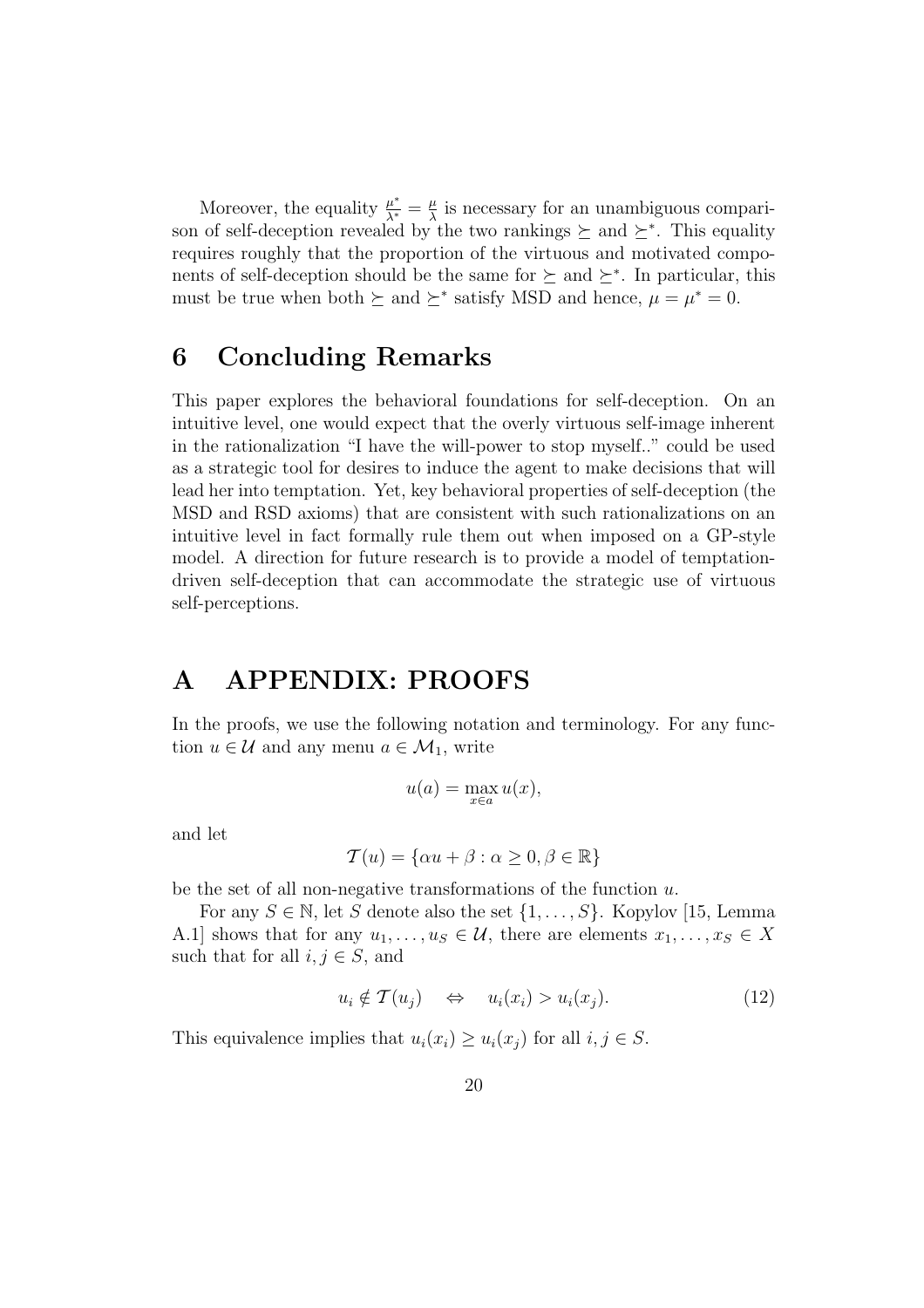Moreover, the equality  $\frac{\mu^*}{\lambda^*} = \frac{\mu}{\lambda}$  $\frac{\mu}{\lambda}$  is necessary for an unambiguous comparison of self-deception revealed by the two rankings  $\succeq$  and  $\succeq^*$ . This equality requires roughly that the proportion of the virtuous and motivated components of self-deception should be the same for  $\succeq$  and  $\succeq^*$ . In particular, this must be true when both  $\succeq$  and  $\succeq^*$  satisfy MSD and hence,  $\mu = \mu^* = 0$ .

## 6 Concluding Remarks

This paper explores the behavioral foundations for self-deception. On an intuitive level, one would expect that the overly virtuous self-image inherent in the rationalization "I have the will-power to stop myself.." could be used as a strategic tool for desires to induce the agent to make decisions that will lead her into temptation. Yet, key behavioral properties of self-deception (the MSD and RSD axioms) that are consistent with such rationalizations on an intuitive level in fact formally rule them out when imposed on a GP-style model. A direction for future research is to provide a model of temptationdriven self-deception that can accommodate the strategic use of virtuous self-perceptions.

# A APPENDIX: PROOFS

In the proofs, we use the following notation and terminology. For any function  $u \in \mathcal{U}$  and any menu  $a \in \mathcal{M}_1$ , write

$$
u(a) = \max_{x \in a} u(x),
$$

and let

$$
\mathcal{T}(u) = \{\alpha u + \beta : \alpha \ge 0, \beta \in \mathbb{R}\}\
$$

be the set of all non-negative transformations of the function  $u$ .

For any  $S \in \mathbb{N}$ , let S denote also the set  $\{1, \ldots, S\}$ . Kopylov [15, Lemma A.1] shows that for any  $u_1, \ldots, u_s \in \mathcal{U}$ , there are elements  $x_1, \ldots, x_s \in X$ such that for all  $i, j \in S$ , and

$$
u_i \notin \mathcal{T}(u_j) \quad \Leftrightarrow \quad u_i(x_i) > u_i(x_j). \tag{12}
$$

This equivalence implies that  $u_i(x_i) \geq u_i(x_j)$  for all  $i, j \in S$ .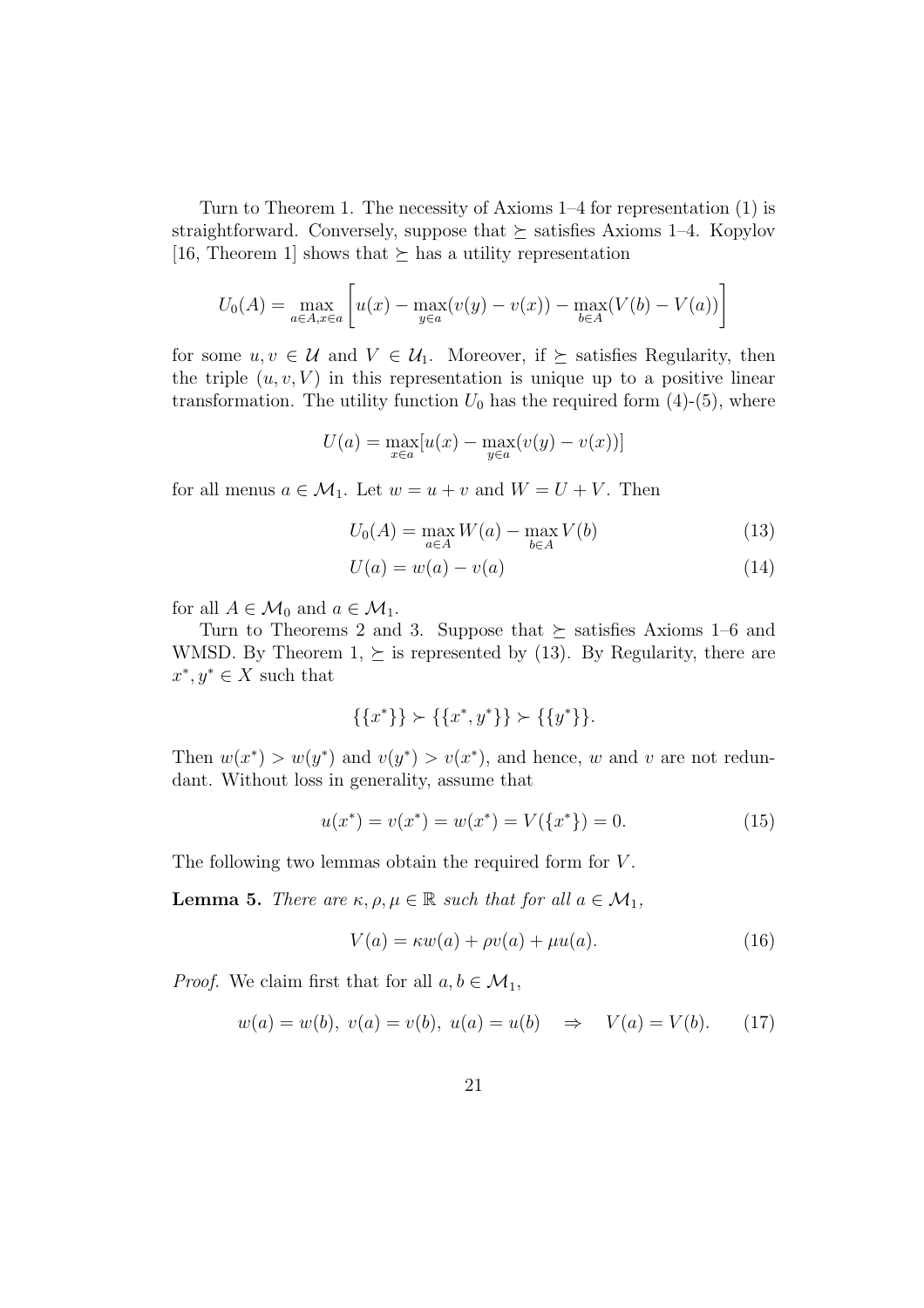Turn to Theorem 1. The necessity of Axioms 1–4 for representation (1) is straightforward. Conversely, suppose that  $\succeq$  satisfies Axioms 1–4. Kopylov [16, Theorem 1] shows that  $\succeq$  has a utility representation

$$
U_0(A) = \max_{a \in A, x \in a} \left[ u(x) - \max_{y \in a} (v(y) - v(x)) - \max_{b \in A} (V(b) - V(a)) \right]
$$

for some  $u, v \in \mathcal{U}$  and  $V \in \mathcal{U}_1$ . Moreover, if  $\succeq$  satisfies Regularity, then the triple  $(u, v, V)$  in this representation is unique up to a positive linear transformation. The utility function  $U_0$  has the required form (4)-(5), where

$$
U(a) = \max_{x \in a} [u(x) - \max_{y \in a} (v(y) - v(x))]
$$

for all menus  $a \in \mathcal{M}_1$ . Let  $w = u + v$  and  $W = U + V$ . Then

$$
U_0(A) = \max_{a \in A} W(a) - \max_{b \in A} V(b)
$$
 (13)

$$
U(a) = w(a) - v(a) \tag{14}
$$

for all  $A \in \mathcal{M}_0$  and  $a \in \mathcal{M}_1$ .

Turn to Theorems 2 and 3. Suppose that  $\succeq$  satisfies Axioms 1–6 and WMSD. By Theorem 1,  $\succeq$  is represented by (13). By Regularity, there are  $x^*, y^* \in X$  such that

$$
\{\{x^*\}\} \succ \{\{x^*,y^*\}\} \succ \{\{y^*\}\}.
$$

Then  $w(x^*) > w(y^*)$  and  $v(y^*) > v(x^*)$ , and hence, w and v are not redundant. Without loss in generality, assume that

$$
u(x^*) = v(x^*) = w(x^*) = V(\lbrace x^* \rbrace) = 0.
$$
 (15)

The following two lemmas obtain the required form for V.

**Lemma 5.** There are  $\kappa, \rho, \mu \in \mathbb{R}$  such that for all  $a \in \mathcal{M}_1$ ,

$$
V(a) = \kappa w(a) + \rho v(a) + \mu u(a). \tag{16}
$$

*Proof.* We claim first that for all  $a, b \in \mathcal{M}_1$ ,

$$
w(a) = w(b), v(a) = v(b), u(a) = u(b) \Rightarrow V(a) = V(b).
$$
 (17)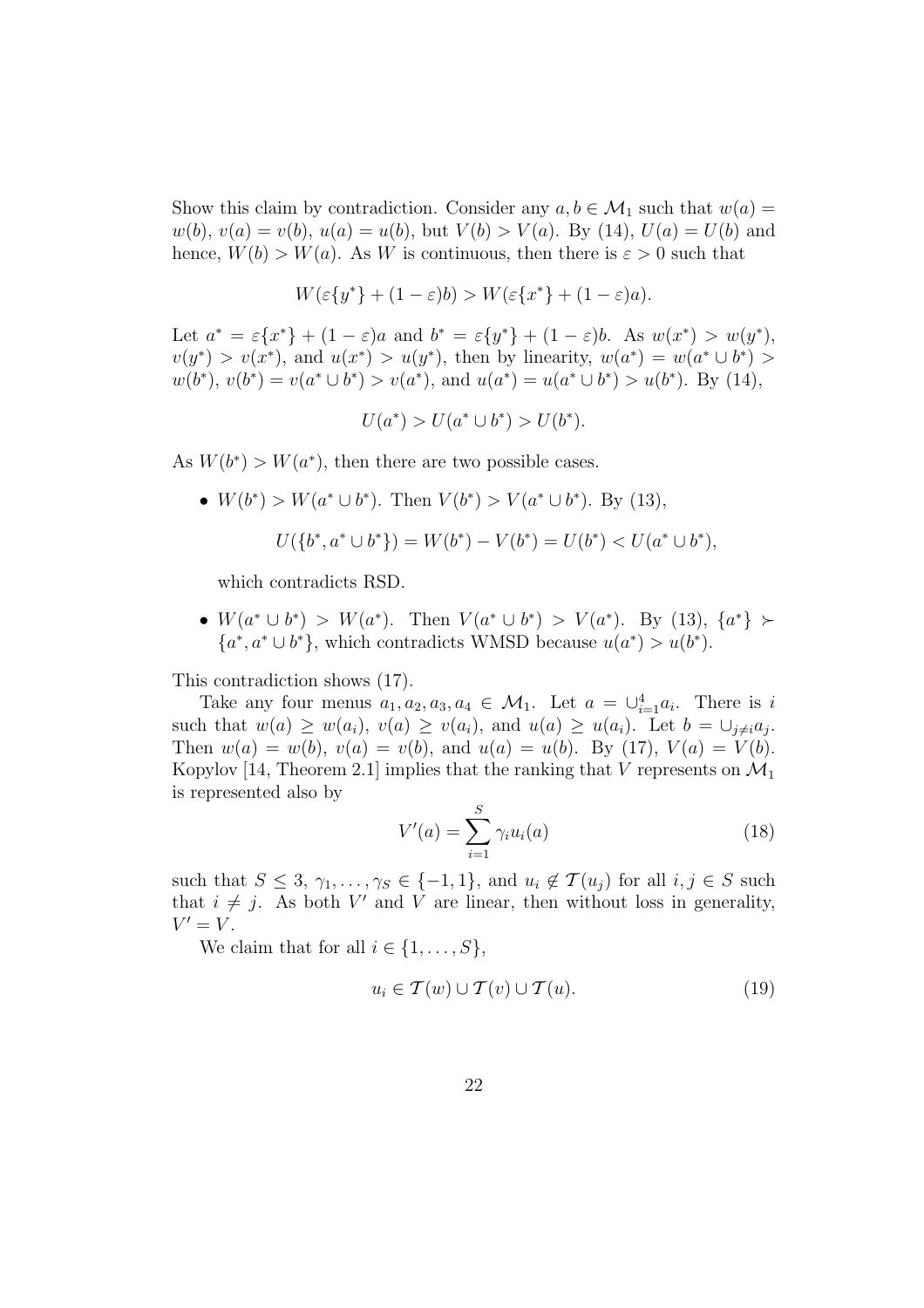Show this claim by contradiction. Consider any  $a, b \in \mathcal{M}_1$  such that  $w(a) =$  $w(b), v(a) = v(b), u(a) = u(b),$  but  $V(b) > V(a)$ . By (14),  $U(a) = U(b)$  and hence,  $W(b) > W(a)$ . As W is continuous, then there is  $\varepsilon > 0$  such that

$$
W(\varepsilon\{y^*\} + (1 - \varepsilon)b) > W(\varepsilon\{x^*\} + (1 - \varepsilon)a).
$$

Let  $a^* = \varepsilon \{x^*\} + (1 - \varepsilon)a$  and  $b^* = \varepsilon \{y^*\} + (1 - \varepsilon)b$ . As  $w(x^*) > w(y^*)$ ,  $v(y^*) > v(x^*)$ , and  $u(x^*) > u(y^*)$ , then by linearity,  $w(a^*) = w(a^* \cup b^*) >$  $w(b^*), v(b^*) = v(a^* \cup b^*) > v(a^*), \text{ and } u(a^*) = u(a^* \cup b^*) > u(b^*).$  By (14),

$$
U(a^*) > U(a^* \cup b^*) > U(b^*).
$$

As  $W(b^*) > W(a^*)$ , then there are two possible cases.

•  $W(b^*) > W(a^* \cup b^*)$ . Then  $V(b^*) > V(a^* \cup b^*)$ . By (13),

$$
U({b^*}, a^* \cup b^*) = W(b^*) - V(b^*) = U(b^*) < U(a^* \cup b^*),
$$

which contradicts RSD.

•  $W(a^* \cup b^*) > W(a^*)$ . Then  $V(a^* \cup b^*) > V(a^*)$ . By (13),  $\{a^*\} \succ$  ${a^*, a^* \cup b^*}$ , which contradicts WMSD because  $u(a^*) > u(b^*)$ .

This contradiction shows (17).

Take any four menus  $a_1, a_2, a_3, a_4 \in \mathcal{M}_1$ . Let  $a = \bigcup_{i=1}^4 a_i$ . There is i such that  $w(a) \ge w(a_i)$ ,  $v(a) \ge v(a_i)$ , and  $u(a) \ge u(a_i)$ . Let  $b = \bigcup_{j \neq i} a_j$ . Then  $w(a) = w(b)$ ,  $v(a) = v(b)$ , and  $u(a) = u(b)$ . By (17),  $V(a) = V(b)$ . Kopylov [14, Theorem 2.1] implies that the ranking that V represents on  $\mathcal{M}_1$ is represented also by

$$
V'(a) = \sum_{i=1}^{S} \gamma_i u_i(a) \tag{18}
$$

such that  $S \leq 3, \gamma_1, \ldots, \gamma_S \in \{-1,1\}$ , and  $u_i \notin \mathcal{T}(u_j)$  for all  $i, j \in S$  such that  $i \neq j$ . As both V' and V are linear, then without loss in generality,  $V'=V.$ 

We claim that for all  $i \in \{1, \ldots, S\}$ ,

$$
u_i \in \mathcal{T}(w) \cup \mathcal{T}(v) \cup \mathcal{T}(u). \tag{19}
$$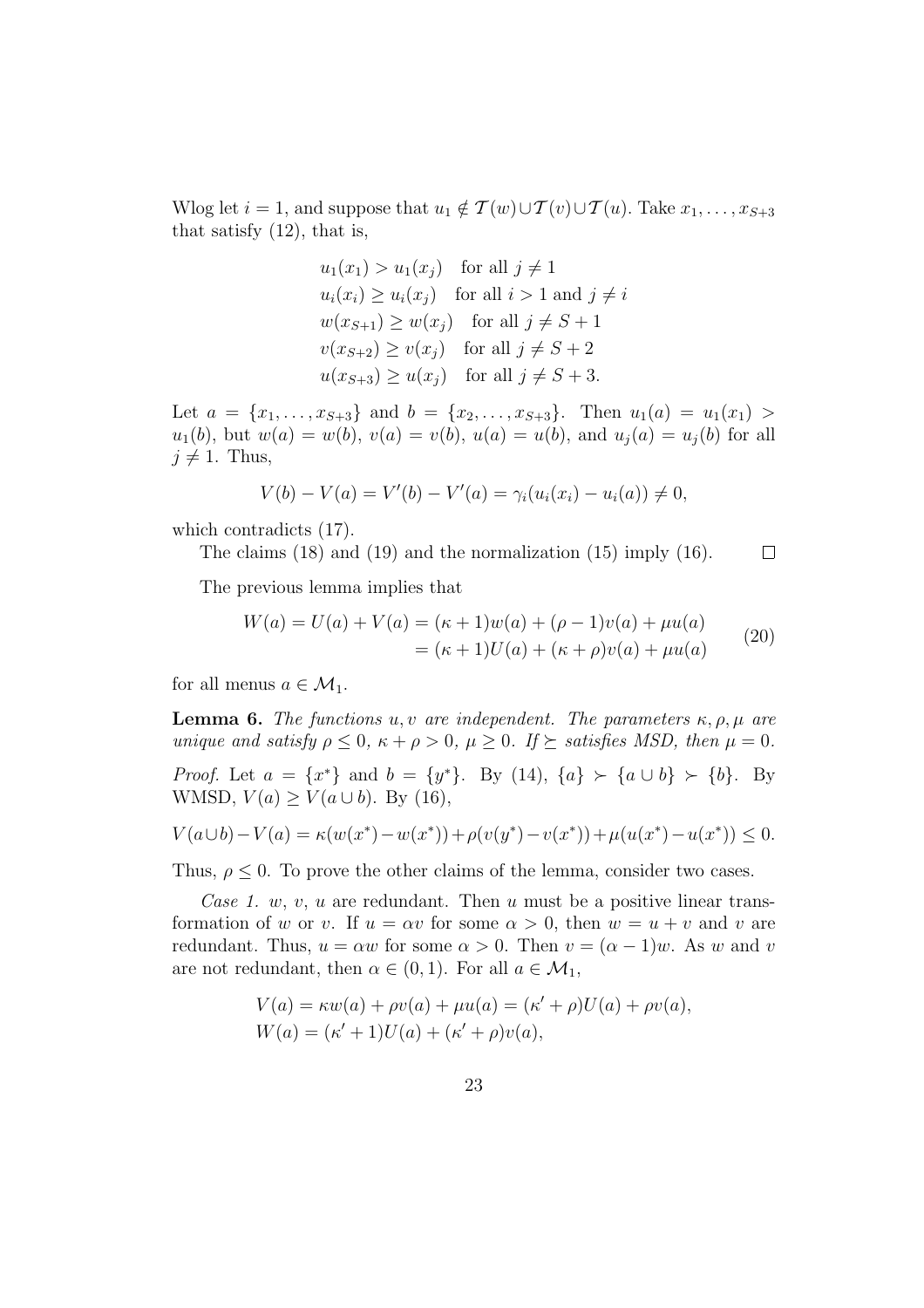Wlog let  $i = 1$ , and suppose that  $u_1 \notin \mathcal{T}(w) \cup \mathcal{T}(v) \cup \mathcal{T}(u)$ . Take  $x_1, \ldots, x_{S+3}$ that satisfy (12), that is,

$$
u_1(x_1) > u_1(x_j) \quad \text{for all } j \neq 1
$$
  
\n
$$
u_i(x_i) \ge u_i(x_j) \quad \text{for all } i > 1 \text{ and } j \neq i
$$
  
\n
$$
w(x_{S+1}) \ge w(x_j) \quad \text{for all } j \neq S+1
$$
  
\n
$$
v(x_{S+2}) \ge v(x_j) \quad \text{for all } j \neq S+2
$$
  
\n
$$
u(x_{S+3}) \ge u(x_j) \quad \text{for all } j \neq S+3.
$$

Let  $a = \{x_1, \ldots, x_{S+3}\}\$ and  $b = \{x_2, \ldots, x_{S+3}\}\$ . Then  $u_1(a) = u_1(x_1)$  $u_1(b)$ , but  $w(a) = w(b)$ ,  $v(a) = v(b)$ ,  $u(a) = u(b)$ , and  $u_i(a) = u_i(b)$  for all  $j \neq 1$ . Thus,

$$
V(b) - V(a) = V'(b) - V'(a) = \gamma_i(u_i(x_i) - u_i(a)) \neq 0,
$$

which contradicts (17).

The claims (18) and (19) and the normalization (15) imply (16).  $\Box$ 

The previous lemma implies that

$$
W(a) = U(a) + V(a) = (\kappa + 1)w(a) + (\rho - 1)v(a) + \mu u(a)
$$
  
= (\kappa + 1)U(a) + (\kappa + \rho)v(a) + \mu u(a) (20)

for all menus  $a \in \mathcal{M}_1$ .

**Lemma 6.** The functions u, v are independent. The parameters  $\kappa$ ,  $\rho$ ,  $\mu$  are unique and satisfy  $\rho \leq 0$ ,  $\kappa + \rho > 0$ ,  $\mu \geq 0$ . If  $\succeq$  satisfies MSD, then  $\mu = 0$ .

*Proof.* Let  $a = \{x^*\}$  and  $b = \{y^*\}$ . By (14),  $\{a\} \succ \{a \cup b\} \succ \{b\}$ . By WMSD,  $V(a) \ge V(a \cup b)$ . By (16),

$$
V(a \cup b) - V(a) = \kappa(w(x^*) - w(x^*)) + \rho(v(y^*) - v(x^*)) + \mu(u(x^*) - u(x^*)) \le 0.
$$

Thus,  $\rho \leq 0$ . To prove the other claims of the lemma, consider two cases.

Case 1. w, v, u are redundant. Then u must be a positive linear transformation of w or v. If  $u = \alpha v$  for some  $\alpha > 0$ , then  $w = u + v$  and v are redundant. Thus,  $u = \alpha w$  for some  $\alpha > 0$ . Then  $v = (\alpha - 1)w$ . As w and v are not redundant, then  $\alpha \in (0,1)$ . For all  $a \in \mathcal{M}_1$ ,

$$
V(a) = \kappa w(a) + \rho v(a) + \mu u(a) = (\kappa' + \rho)U(a) + \rho v(a),
$$
  
 
$$
W(a) = (\kappa' + 1)U(a) + (\kappa' + \rho)v(a),
$$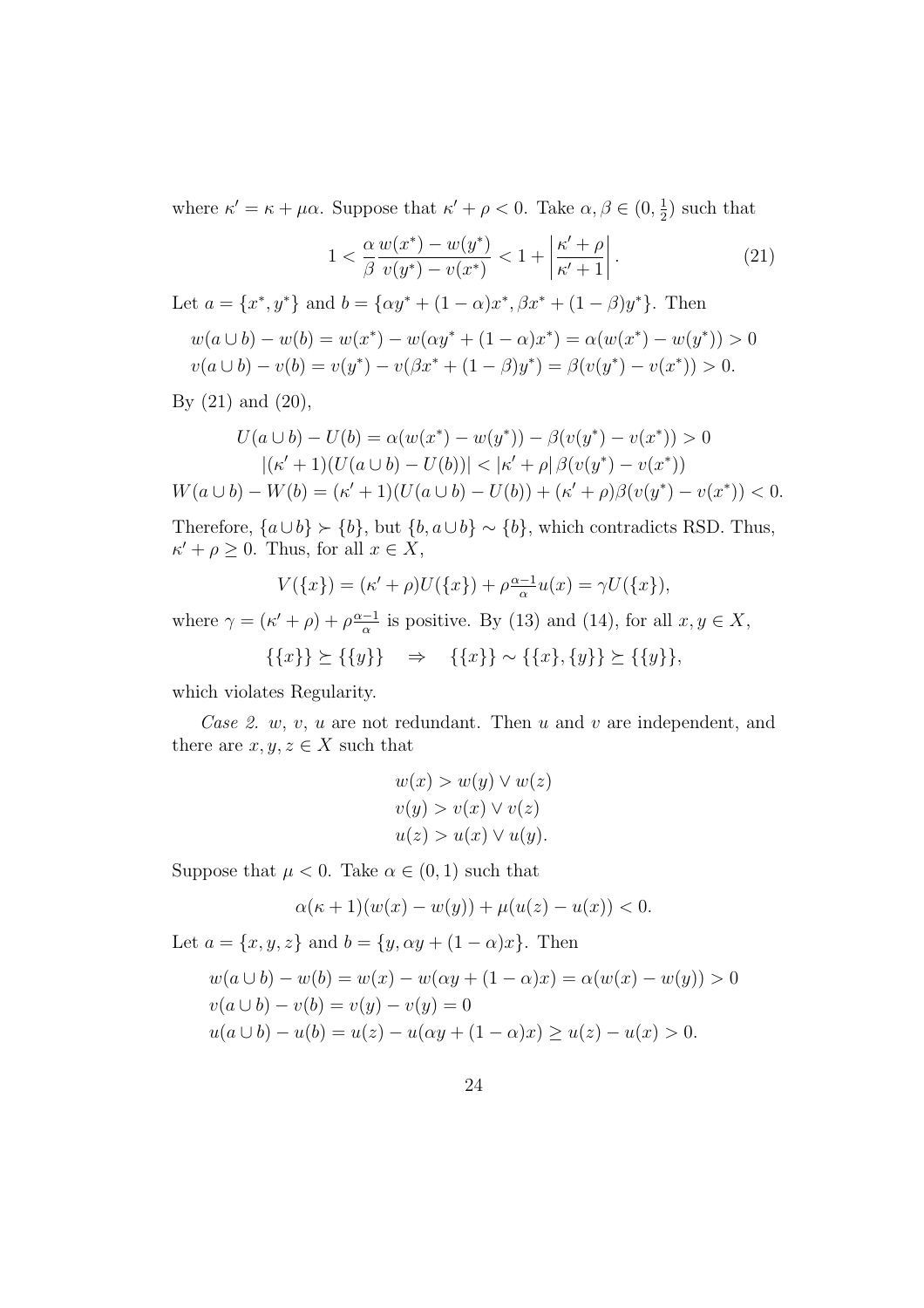where  $\kappa' = \kappa + \mu \alpha$ . Suppose that  $\kappa' + \rho < 0$ . Take  $\alpha, \beta \in (0, \frac{1}{2})$  $(\frac{1}{2})$  such that

$$
1 < \frac{\alpha}{\beta} \frac{w(x^*) - w(y^*)}{v(y^*) - v(x^*)} < 1 + \left| \frac{\kappa' + \rho}{\kappa' + 1} \right| \tag{21}
$$

Let  $a = \{x^*, y^*\}$  and  $b = \{\alpha y^* + (1 - \alpha)x^*, \beta x^* + (1 - \beta)y^*\}$ . Then

$$
w(a \cup b) - w(b) = w(x^*) - w(\alpha y^* + (1 - \alpha)x^*) = \alpha(w(x^*) - w(y^*)) > 0
$$
  

$$
v(a \cup b) - v(b) = v(y^*) - v(\beta x^* + (1 - \beta)y^*) = \beta(v(y^*) - v(x^*)) > 0.
$$

By  $(21)$  and  $(20)$ ,

$$
U(a \cup b) - U(b) = \alpha(w(x^*) - w(y^*)) - \beta(v(y^*) - v(x^*)) > 0
$$
\n
$$
|(\kappa' + 1)(U(a \cup b) - U(b))| < |\kappa' + \rho| \beta(v(y^*) - v(x^*))
$$
\n
$$
W(a \cup b) - W(b) = (\kappa' + 1)(U(a \cup b) - U(b)) + (\kappa' + \rho) \beta(v(y^*) - v(x^*)) < 0.
$$

Therefore,  ${a \cup b} \succ {b}$ , but  ${b, a \cup b} \sim {b}$ , which contradicts RSD. Thus,  $\kappa' + \rho \geq 0$ . Thus, for all  $x \in X$ ,

$$
V({x}) = (\kappa' + \rho)U({x}) + \rho \frac{\alpha - 1}{\alpha}u(x) = \gamma U({x}),
$$

where  $\gamma = (\kappa' + \rho) + \rho \frac{\alpha - 1}{\alpha}$  $\frac{-1}{\alpha}$  is positive. By (13) and (14), for all  $x, y \in X$ ,

$$
\{\{x\}\}\succeq \{\{y\}\}\quad \Rightarrow \quad \{\{x\}\}\sim \{\{x\},\{y\}\}\succeq \{\{y\}\},
$$

which violates Regularity.

Case 2.  $w, v, u$  are not redundant. Then  $u$  and  $v$  are independent, and there are  $x, y, z \in X$  such that

$$
w(x) > w(y) \lor w(z)
$$
  

$$
v(y) > v(x) \lor v(z)
$$
  

$$
u(z) > u(x) \lor u(y).
$$

Suppose that  $\mu < 0$ . Take  $\alpha \in (0, 1)$  such that

$$
\alpha(\kappa + 1)(w(x) - w(y)) + \mu(u(z) - u(x)) < 0.
$$

Let  $a = \{x, y, z\}$  and  $b = \{y, \alpha y + (1 - \alpha)x\}$ . Then

$$
w(a \cup b) - w(b) = w(x) - w(\alpha y + (1 - \alpha)x) = \alpha(w(x) - w(y)) > 0
$$
  

$$
v(a \cup b) - v(b) = v(y) - v(y) = 0
$$
  

$$
u(a \cup b) - u(b) = u(z) - u(\alpha y + (1 - \alpha)x) \ge u(z) - u(x) > 0.
$$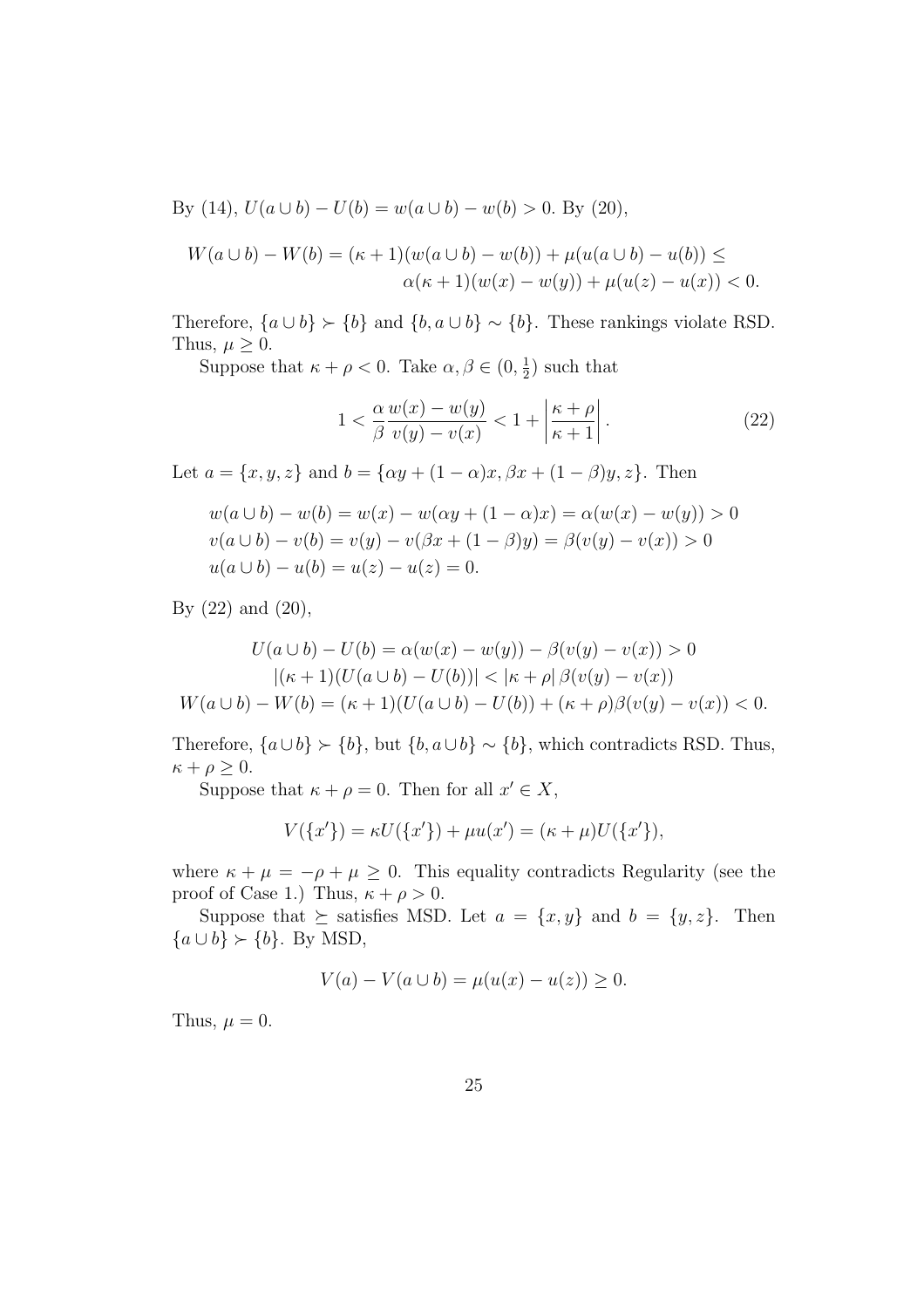By (14),  $U(a \cup b) - U(b) = w(a \cup b) - w(b) > 0$ . By (20),

$$
W(a \cup b) - W(b) = (\kappa + 1)(w(a \cup b) - w(b)) + \mu(u(a \cup b) - u(b)) \le
$$
  
 
$$
\alpha(\kappa + 1)(w(x) - w(y)) + \mu(u(z) - u(x)) < 0.
$$

Therefore,  ${a \cup b} \succ {b}$  and  ${b, a \cup b} \sim {b}$ . These rankings violate RSD. Thus,  $\mu \geq 0$ .

Suppose that  $\kappa + \rho < 0$ . Take  $\alpha, \beta \in (0, \frac{1}{2})$  $(\frac{1}{2})$  such that

$$
1 < \frac{\alpha}{\beta} \frac{w(x) - w(y)}{v(y) - v(x)} < 1 + \left| \frac{\kappa + \rho}{\kappa + 1} \right| \tag{22}
$$

Let  $a = \{x, y, z\}$  and  $b = \{\alpha y + (1 - \alpha)x, \beta x + (1 - \beta)y, z\}$ . Then

$$
w(a \cup b) - w(b) = w(x) - w(\alpha y + (1 - \alpha)x) = \alpha(w(x) - w(y)) > 0
$$
  

$$
v(a \cup b) - v(b) = v(y) - v(\beta x + (1 - \beta)y) = \beta(v(y) - v(x)) > 0
$$
  

$$
u(a \cup b) - u(b) = u(z) - u(z) = 0.
$$

By (22) and (20),

$$
U(a \cup b) - U(b) = \alpha(w(x) - w(y)) - \beta(v(y) - v(x)) > 0
$$
  
 
$$
|(\kappa + 1)(U(a \cup b) - U(b))| < |\kappa + \rho| \beta(v(y) - v(x))
$$
  
 
$$
W(a \cup b) - W(b) = (\kappa + 1)(U(a \cup b) - U(b)) + (\kappa + \rho) \beta(v(y) - v(x)) < 0.
$$

Therefore,  ${a \cup b} \succ {b}$ , but  ${b, a \cup b} \sim {b}$ , which contradicts RSD. Thus,  $\kappa + \rho \geq 0.$ 

Suppose that  $\kappa + \rho = 0$ . Then for all  $x' \in X$ ,

$$
V({x'})) = \kappa U({x'}) + \mu u(x') = (\kappa + \mu)U({x'}),
$$

where  $\kappa + \mu = -\rho + \mu \geq 0$ . This equality contradicts Regularity (see the proof of Case 1.) Thus,  $\kappa + \rho > 0$ .

Suppose that  $\succeq$  satisfies MSD. Let  $a = \{x, y\}$  and  $b = \{y, z\}$ . Then  ${a \cup b} \succ {b}$ . By MSD,

$$
V(a) - V(a \cup b) = \mu(u(x) - u(z)) \ge 0.
$$

Thus,  $\mu = 0$ .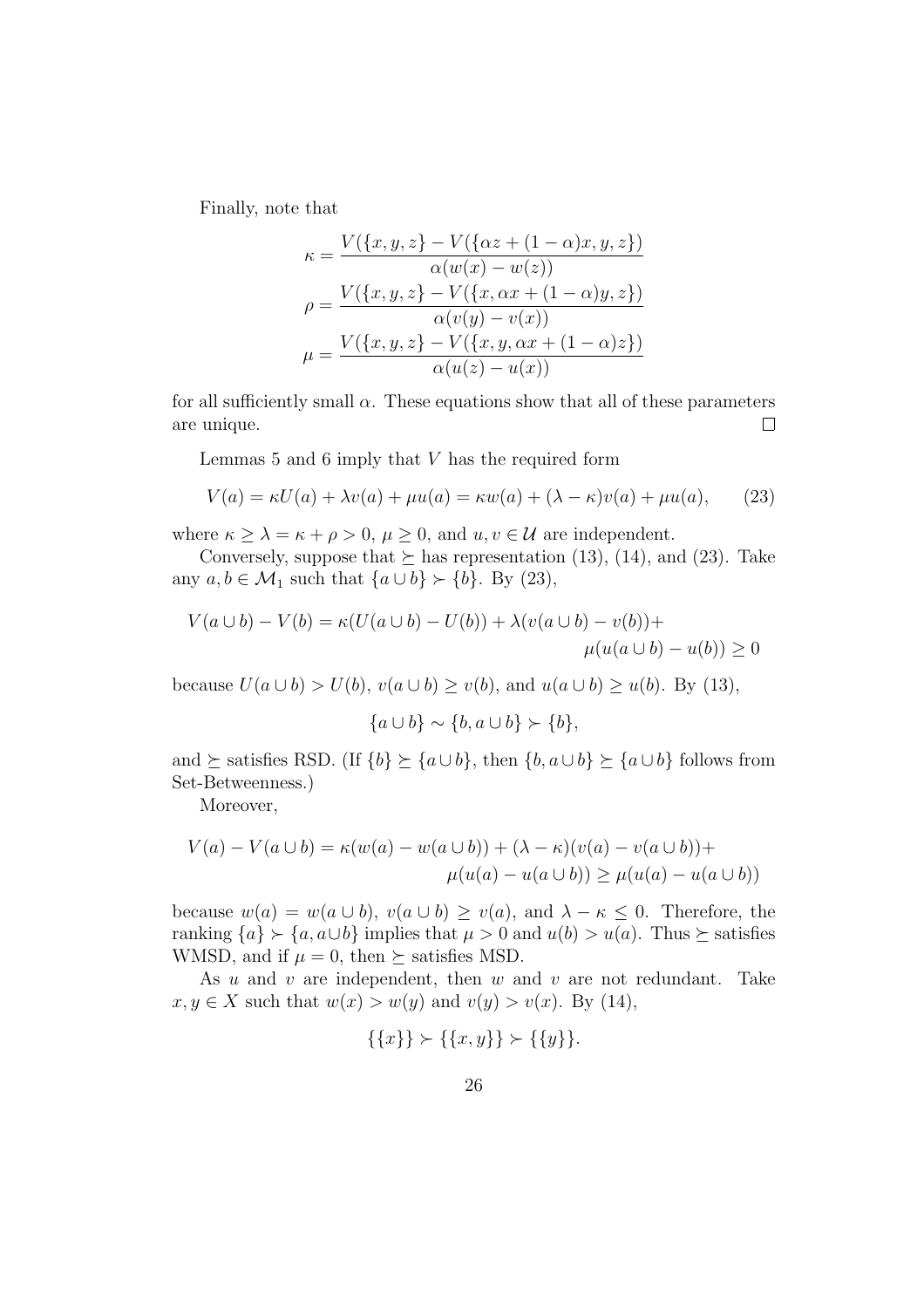Finally, note that

$$
\kappa = \frac{V(\{x, y, z\} - V(\{\alpha z + (1 - \alpha)x, y, z\})}{\alpha(w(x) - w(z))}
$$

$$
\rho = \frac{V(\{x, y, z\} - V(\{x, \alpha x + (1 - \alpha)y, z\})}{\alpha(v(y) - v(x))}
$$

$$
\mu = \frac{V(\{x, y, z\} - V(\{x, y, \alpha x + (1 - \alpha)z\})}{\alpha(u(z) - u(x))}
$$

for all sufficiently small  $\alpha$ . These equations show that all of these parameters are unique.  $\Box$ 

Lemmas  $5$  and  $6$  imply that  $V$  has the required form

$$
V(a) = \kappa U(a) + \lambda v(a) + \mu u(a) = \kappa w(a) + (\lambda - \kappa)v(a) + \mu u(a), \qquad (23)
$$

where  $\kappa > \lambda = \kappa + \rho > 0$ ,  $\mu > 0$ , and  $u, v \in \mathcal{U}$  are independent.

Conversely, suppose that  $\succeq$  has representation (13), (14), and (23). Take any  $a, b \in \mathcal{M}_1$  such that  $\{a \cup b\} \succ \{b\}$ . By (23),

$$
V(a \cup b) - V(b) = \kappa (U(a \cup b) - U(b)) + \lambda (v(a \cup b) - v(b)) +
$$
  

$$
\mu (u(a \cup b) - u(b)) \ge 0
$$

because  $U(a \cup b) > U(b)$ ,  $v(a \cup b) \ge v(b)$ , and  $u(a \cup b) \ge u(b)$ . By (13),

$$
\{a \cup b\} \sim \{b, a \cup b\} \succ \{b\},\
$$

and  $\succeq$  satisfies RSD. (If  $\{b\} \succeq \{a \cup b\}$ , then  $\{b, a \cup b\} \succeq \{a \cup b\}$  follows from Set-Betweenness.)

Moreover,

$$
V(a) - V(a \cup b) = \kappa(w(a) - w(a \cup b)) + (\lambda - \kappa)(v(a) - v(a \cup b)) +
$$
  

$$
\mu(u(a) - u(a \cup b)) \ge \mu(u(a) - u(a \cup b))
$$

because  $w(a) = w(a \cup b)$ ,  $v(a \cup b) \ge v(a)$ , and  $\lambda - \kappa \le 0$ . Therefore, the ranking  ${a} \succ {a, a \cup b}$  implies that  $\mu > 0$  and  $u(b) > u(a)$ . Thus  $\succeq$  satisfies WMSD, and if  $\mu = 0$ , then  $\succeq$  satisfies MSD.

As  $u$  and  $v$  are independent, then  $w$  and  $v$  are not redundant. Take  $x, y \in X$  such that  $w(x) > w(y)$  and  $v(y) > v(x)$ . By (14),

$$
\{\{x\}\} \succ \{\{x,y\}\} \succ \{\{y\}\}.
$$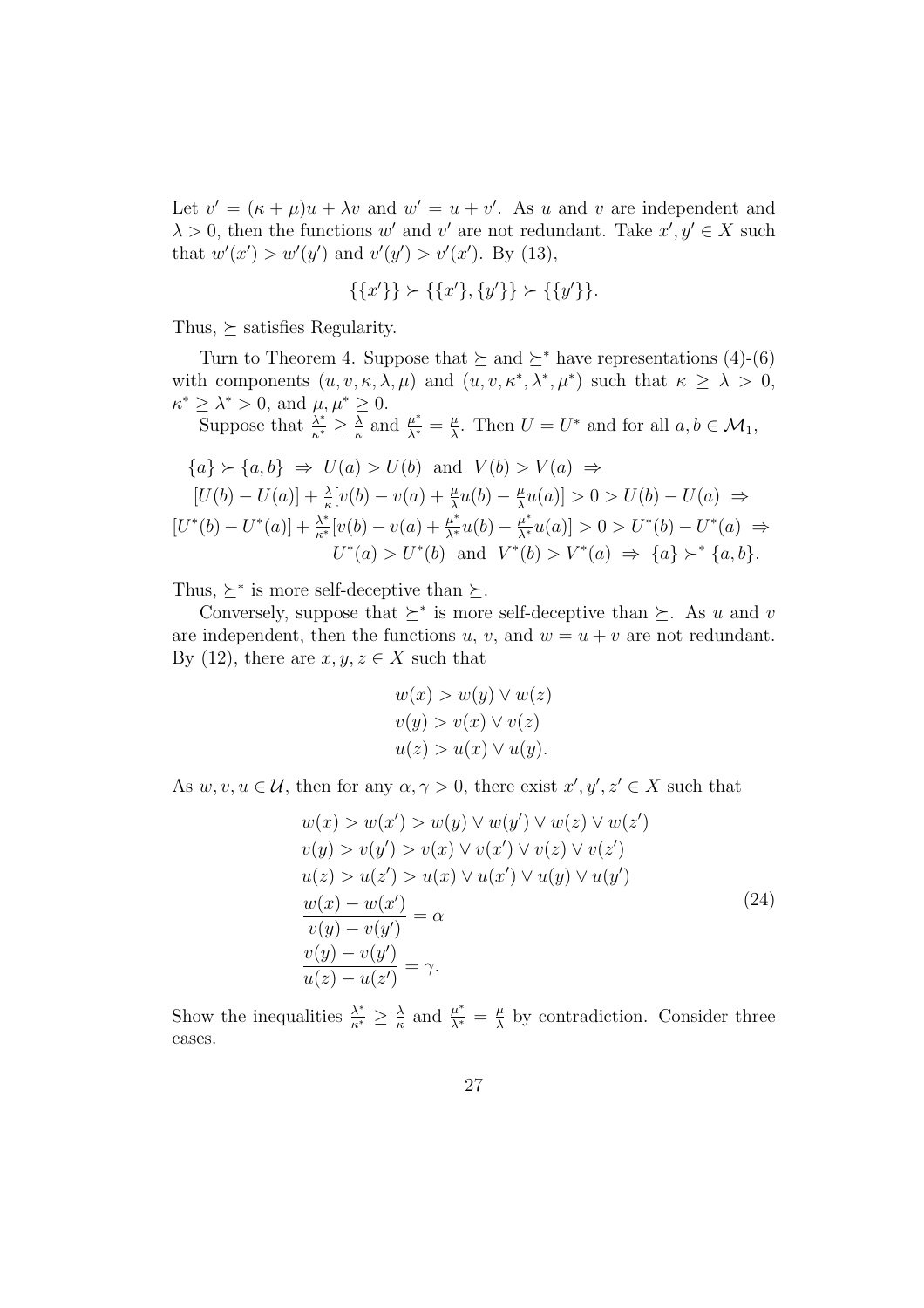Let  $v' = (\kappa + \mu)u + \lambda v$  and  $w' = u + v'$ . As u and v are independent and  $\lambda > 0$ , then the functions w' and v' are not redundant. Take  $x', y' \in X$  such that  $w'(x') > w'(y')$  and  $v'(y') > v'(x')$ . By (13),

$$
\{\{x'\}\} \succ \{\{x'\}, \{y'\}\} \succ \{\{y'\}\}.
$$

Thus,  $\succeq$  satisfies Regularity.

Turn to Theorem 4. Suppose that  $\succeq$  and  $\succeq^*$  have representations (4)-(6) with components  $(u, v, \kappa, \lambda, \mu)$  and  $(u, v, \kappa^*, \lambda^*, \mu^*)$  such that  $\kappa \geq \lambda > 0$ ,  $\kappa^* \geq \lambda^* > 0$ , and  $\mu, \mu^* \geq 0$ .

Suppose that  $\frac{\lambda^*}{\kappa^*} \geq \frac{\lambda}{\kappa}$  $\frac{\overline{\lambda}}{\kappa}$  and  $\frac{\mu^*}{\lambda^*} = \frac{\mu}{\lambda}$  $\frac{\mu}{\lambda}$ . Then  $U = U^*$  and for all  $a, b \in \mathcal{M}_1$ ,

$$
\{a\} \succ \{a, b\} \Rightarrow U(a) > U(b) \text{ and } V(b) > V(a) \Rightarrow
$$
  
\n
$$
[U(b) - U(a)] + \frac{\lambda}{\kappa} [v(b) - v(a) + \frac{\mu}{\lambda} u(b) - \frac{\mu}{\lambda} u(a)] > 0 > U(b) - U(a) \Rightarrow
$$
  
\n
$$
[U^*(b) - U^*(a)] + \frac{\lambda^*}{\kappa^*} [v(b) - v(a) + \frac{\mu^*}{\lambda^*} u(b) - \frac{\mu^*}{\lambda^*} u(a)] > 0 > U^*(b) - U^*(a) \Rightarrow
$$
  
\n
$$
U^*(a) > U^*(b) \text{ and } V^*(b) > V^*(a) \Rightarrow \{a\} \succ^* \{a, b\}.
$$

Thus,  $\succeq^*$  is more self-deceptive than  $\succeq$ .

Conversely, suppose that  $\succeq^*$  is more self-deceptive than  $\succeq$ . As u and v are independent, then the functions  $u, v$ , and  $w = u + v$  are not redundant. By (12), there are  $x, y, z \in X$  such that

$$
w(x) > w(y) \lor w(z)
$$
  
\n
$$
v(y) > v(x) \lor v(z)
$$
  
\n
$$
u(z) > u(x) \lor u(y).
$$

As  $w, v, u \in \mathcal{U}$ , then for any  $\alpha, \gamma > 0$ , there exist  $x', y', z' \in X$  such that

$$
w(x) > w(x') > w(y) \lor w(y') \lor w(z) \lor w(z')
$$
  
\n
$$
v(y) > v(y') > v(x) \lor v(x') \lor v(z) \lor v(z')
$$
  
\n
$$
u(z) > u(z') > u(x) \lor u(x') \lor u(y) \lor u(y')
$$
  
\n
$$
\frac{w(x) - w(x')}{v(y) - v(y')} = \alpha
$$
  
\n
$$
\frac{v(y) - v(y')}{u(z) - u(z')} = \gamma.
$$
\n(24)

Show the inequalities  $\frac{\lambda^*}{\kappa^*} \geq \frac{\lambda}{\kappa}$  $\frac{\lambda}{\kappa}$  and  $\frac{\mu^*}{\lambda^*} = \frac{\mu}{\lambda}$  $\frac{\mu}{\lambda}$  by contradiction. Consider three cases.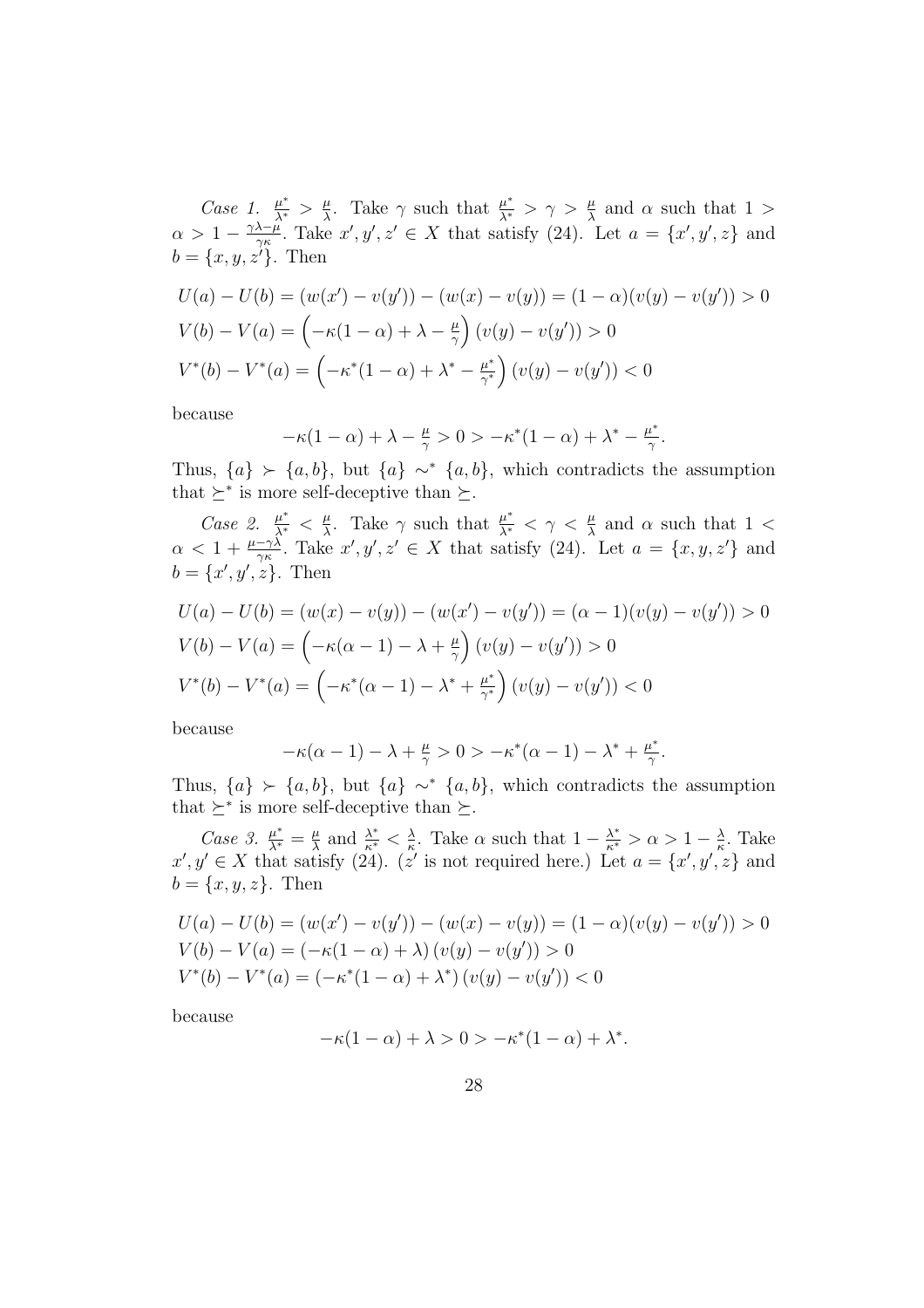Case 1.  $\frac{\mu^*}{\lambda^*} > \frac{\mu}{\lambda}$  $\frac{\mu}{\lambda}$ . Take  $\gamma$  such that  $\frac{\mu^*}{\lambda^*} > \gamma > \frac{\mu}{\lambda}$  and  $\alpha$  such that 1 >  $\alpha > 1 - \frac{\gamma \lambda - \mu}{\gamma \kappa}$  $\frac{\lambda-\mu}{\gamma\kappa}$ . Take  $x', y', z' \in X$  that satisfy (24). Let  $a = \{x', y', z\}$  and  $b = \{x, y, z'\}.$  Then

$$
U(a) - U(b) = (w(x') - v(y')) - (w(x) - v(y)) = (1 - \alpha)(v(y) - v(y')) > 0
$$
  

$$
V(b) - V(a) = \left(-\kappa(1 - \alpha) + \lambda - \frac{\mu}{\gamma}\right)(v(y) - v(y')) > 0
$$
  

$$
V^*(b) - V^*(a) = \left(-\kappa^*(1 - \alpha) + \lambda^* - \frac{\mu^*}{\gamma^*}\right)(v(y) - v(y')) < 0
$$

because

$$
-\kappa(1-\alpha)+\lambda-\tfrac{\mu}{\gamma}>0>-\kappa^*(1-\alpha)+\lambda^*-\tfrac{\mu^*}{\gamma}.
$$

Thus,  ${a} \succ {a, b}$ , but  ${a} \sim^* {a, b}$ , which contradicts the assumption that  $\succeq^*$  is more self-deceptive than  $\succeq$ .

Case 2.  $\frac{\mu^*}{\lambda^*} < \frac{\mu}{\lambda}$  $\frac{\mu}{\lambda}$ . Take  $\gamma$  such that  $\frac{\mu^*}{\lambda^*} < \gamma < \frac{\mu}{\lambda}$  and  $\alpha$  such that 1 <  $\alpha < 1 + \frac{\mu - \gamma \lambda}{\gamma \kappa}$ . Take  $x', y', z' \in X$  that satisfy (24). Let  $a = \{x, y, z'\}$  and  $b = \{x', y', z\}.$  Then

$$
U(a) - U(b) = (w(x) - v(y)) - (w(x') - v(y')) = (\alpha - 1)(v(y) - v(y')) > 0
$$
  

$$
V(b) - V(a) = \left(-\kappa(\alpha - 1) - \lambda + \frac{\mu}{\gamma}\right)(v(y) - v(y')) > 0
$$
  

$$
V^*(b) - V^*(a) = \left(-\kappa^*(\alpha - 1) - \lambda^* + \frac{\mu^*}{\gamma^*}\right)(v(y) - v(y')) < 0
$$

because

$$
-\kappa(\alpha - 1) - \lambda + \frac{\mu}{\gamma} > 0 > -\kappa^*(\alpha - 1) - \lambda^* + \frac{\mu^*}{\gamma}.
$$

Thus,  ${a} \succ {a, b}$ , but  ${a} \sim^* {a, b}$ , which contradicts the assumption that  $\succeq^*$  is more self-deceptive than  $\succeq$ .

Case 3.  $\frac{\mu^*}{\lambda^*} = \frac{\mu}{\lambda}$  $\frac{\mu}{\lambda}$  and  $\frac{\lambda^*}{\kappa^*} < \frac{\lambda}{\kappa}$  $\frac{\lambda}{\kappa}$ . Take  $\alpha$  such that  $1 - \frac{\lambda^*}{\kappa^*} > \alpha > 1 - \frac{\lambda}{\kappa}$  $\frac{\lambda}{\kappa}$ . Take  $x', y' \in X$  that satisfy (24). (z' is not required here.) Let  $a = \{x', y', z\}$  and  $b = \{x, y, z\}$ . Then

$$
U(a) - U(b) = (w(x') - v(y')) - (w(x) - v(y)) = (1 - \alpha)(v(y) - v(y')) > 0
$$
  
\n
$$
V(b) - V(a) = (-\kappa(1 - \alpha) + \lambda) (v(y) - v(y')) > 0
$$
  
\n
$$
V^*(b) - V^*(a) = (-\kappa^*(1 - \alpha) + \lambda^*)(v(y) - v(y')) < 0
$$

because

$$
-\kappa(1-\alpha)+\lambda>0>-\kappa^*(1-\alpha)+\lambda^*.
$$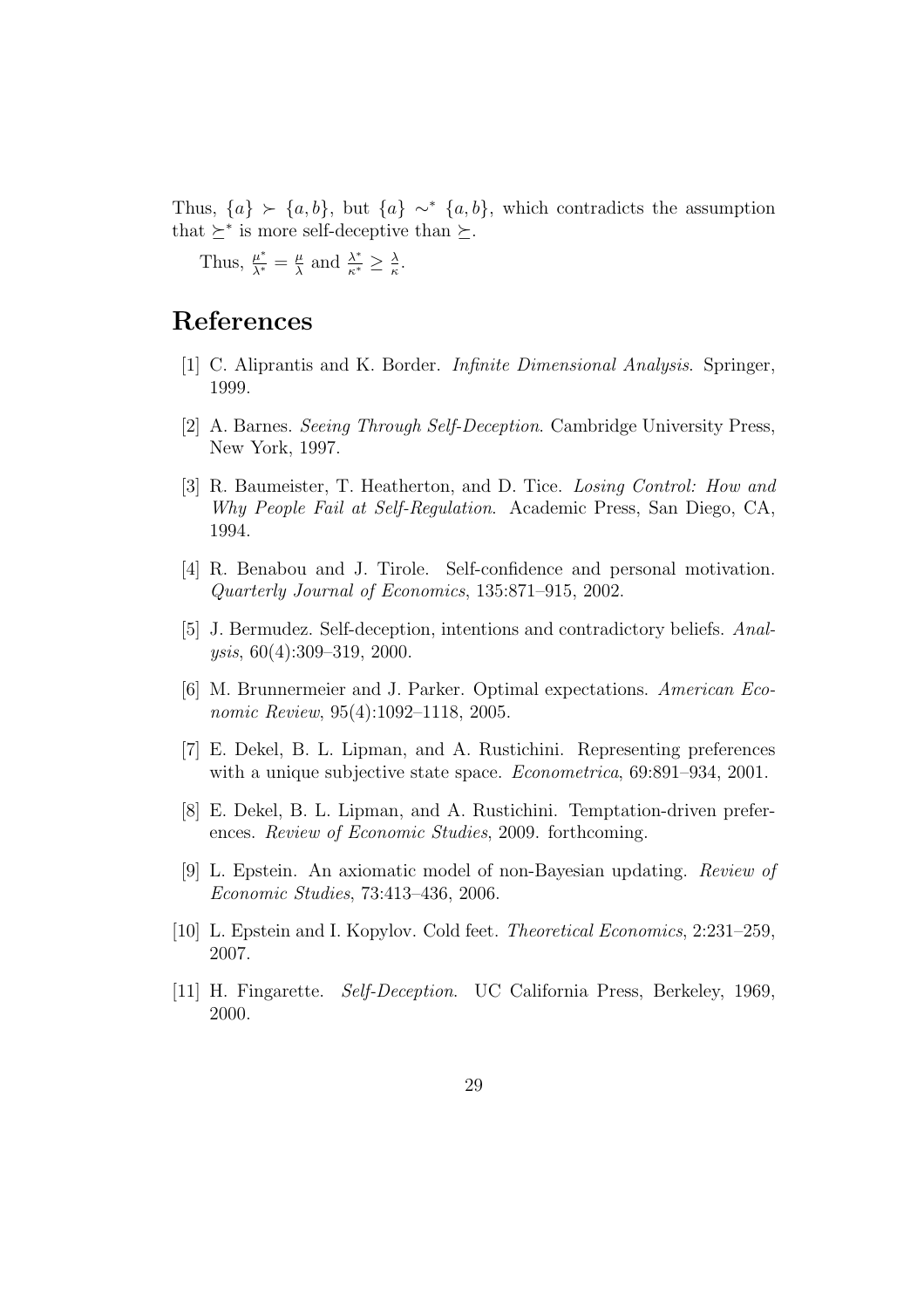Thus,  $\{a\}$  ≻  $\{a, b\}$ , but  $\{a\}$  ∼  $\{a, b\}$ , which contradicts the assumption that  $\succeq^*$  is more self-deceptive than  $\succeq$ .

Thus,  $\frac{\mu^*}{\lambda^*} = \frac{\mu}{\lambda}$  $\frac{\mu}{\lambda}$  and  $\frac{\lambda^*}{\kappa^*} \geq \frac{\lambda}{\kappa}$  $\frac{\lambda}{\kappa}$ .

# References

- [1] C. Aliprantis and K. Border. Infinite Dimensional Analysis. Springer, 1999.
- [2] A. Barnes. Seeing Through Self-Deception. Cambridge University Press, New York, 1997.
- [3] R. Baumeister, T. Heatherton, and D. Tice. Losing Control: How and Why People Fail at Self-Regulation. Academic Press, San Diego, CA, 1994.
- [4] R. Benabou and J. Tirole. Self-confidence and personal motivation. Quarterly Journal of Economics, 135:871–915, 2002.
- [5] J. Bermudez. Self-deception, intentions and contradictory beliefs. Analysis, 60(4):309–319, 2000.
- [6] M. Brunnermeier and J. Parker. Optimal expectations. American Economic Review, 95(4):1092–1118, 2005.
- [7] E. Dekel, B. L. Lipman, and A. Rustichini. Representing preferences with a unique subjective state space. *Econometrica*, 69:891-934, 2001.
- [8] E. Dekel, B. L. Lipman, and A. Rustichini. Temptation-driven preferences. Review of Economic Studies, 2009. forthcoming.
- [9] L. Epstein. An axiomatic model of non-Bayesian updating. Review of Economic Studies, 73:413–436, 2006.
- [10] L. Epstein and I. Kopylov. Cold feet. Theoretical Economics, 2:231–259, 2007.
- [11] H. Fingarette. Self-Deception. UC California Press, Berkeley, 1969, 2000.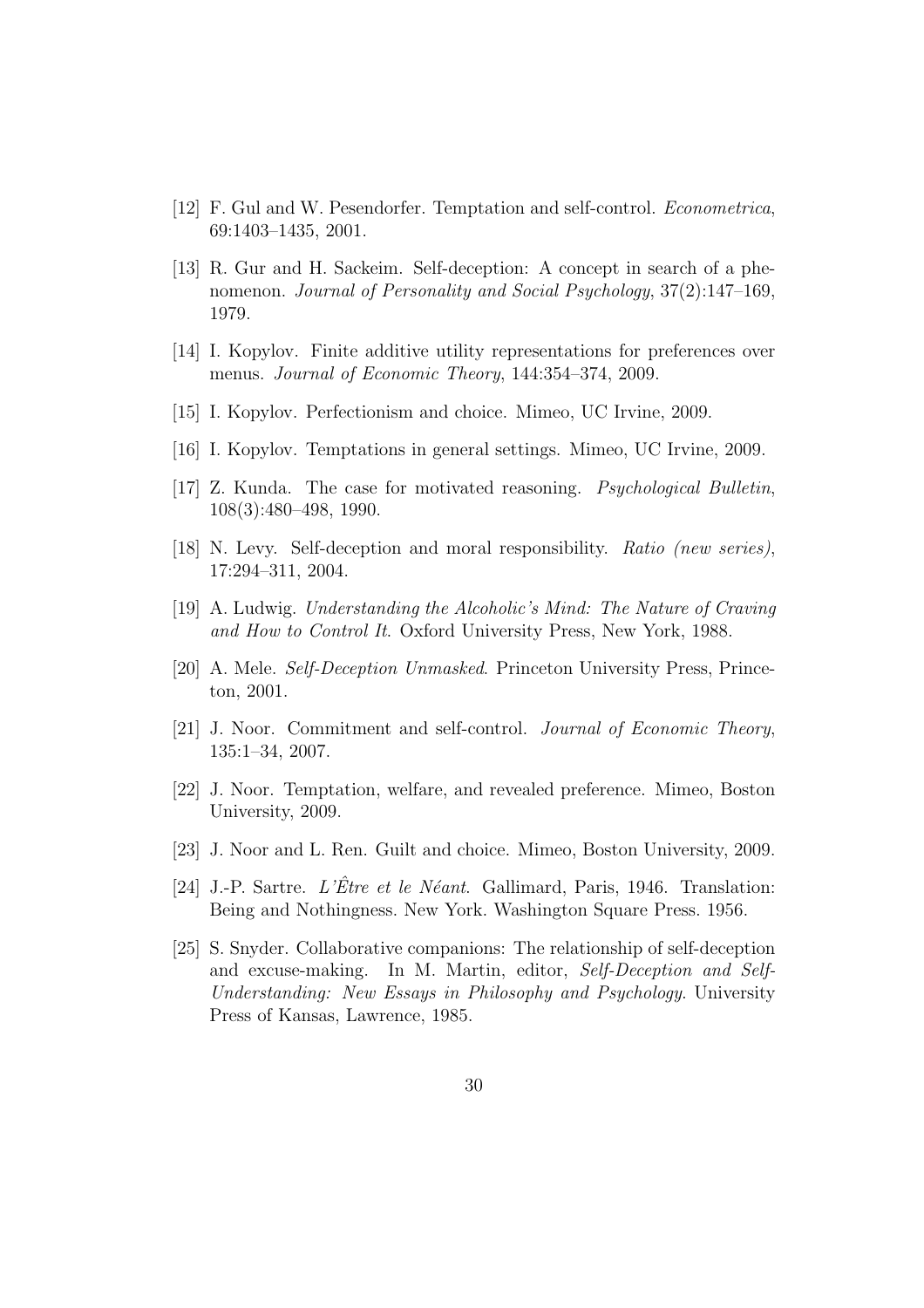- [12] F. Gul and W. Pesendorfer. Temptation and self-control. Econometrica, 69:1403–1435, 2001.
- [13] R. Gur and H. Sackeim. Self-deception: A concept in search of a phenomenon. Journal of Personality and Social Psychology, 37(2):147–169, 1979.
- [14] I. Kopylov. Finite additive utility representations for preferences over menus. Journal of Economic Theory, 144:354–374, 2009.
- [15] I. Kopylov. Perfectionism and choice. Mimeo, UC Irvine, 2009.
- [16] I. Kopylov. Temptations in general settings. Mimeo, UC Irvine, 2009.
- [17] Z. Kunda. The case for motivated reasoning. Psychological Bulletin, 108(3):480–498, 1990.
- [18] N. Levy. Self-deception and moral responsibility. Ratio (new series), 17:294–311, 2004.
- [19] A. Ludwig. Understanding the Alcoholic's Mind: The Nature of Craving and How to Control It. Oxford University Press, New York, 1988.
- [20] A. Mele. Self-Deception Unmasked. Princeton University Press, Princeton, 2001.
- [21] J. Noor. Commitment and self-control. Journal of Economic Theory, 135:1–34, 2007.
- [22] J. Noor. Temptation, welfare, and revealed preference. Mimeo, Boston University, 2009.
- [23] J. Noor and L. Ren. Guilt and choice. Mimeo, Boston University, 2009.
- [24] J.-P. Sartre. L'Être et le Néant. Gallimard, Paris, 1946. Translation: Being and Nothingness. New York. Washington Square Press. 1956.
- [25] S. Snyder. Collaborative companions: The relationship of self-deception and excuse-making. In M. Martin, editor, Self-Deception and Self-Understanding: New Essays in Philosophy and Psychology. University Press of Kansas, Lawrence, 1985.